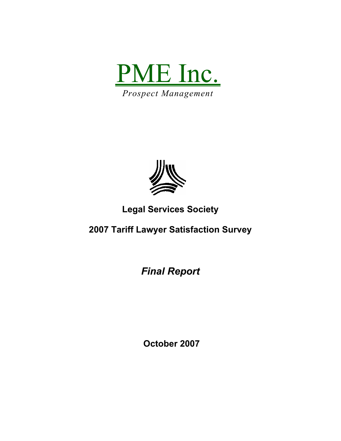



## **Legal Services Society**

# **2007 Tariff Lawyer Satisfaction Survey**

*Final Report* 

 **October 2007**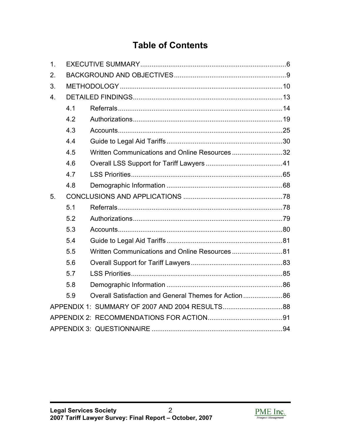# **Table of Contents**

| 1. |     |                                                      |  |  |  |
|----|-----|------------------------------------------------------|--|--|--|
| 2. |     |                                                      |  |  |  |
| 3. |     |                                                      |  |  |  |
| 4. |     |                                                      |  |  |  |
|    | 4.1 |                                                      |  |  |  |
|    | 4.2 |                                                      |  |  |  |
|    | 4.3 |                                                      |  |  |  |
|    | 4.4 |                                                      |  |  |  |
|    | 4.5 | Written Communications and Online Resources32        |  |  |  |
|    | 4.6 |                                                      |  |  |  |
|    | 4.7 |                                                      |  |  |  |
|    | 4.8 |                                                      |  |  |  |
| 5. |     |                                                      |  |  |  |
|    | 5.1 |                                                      |  |  |  |
|    | 5.2 |                                                      |  |  |  |
|    | 5.3 |                                                      |  |  |  |
|    | 5.4 |                                                      |  |  |  |
|    | 5.5 |                                                      |  |  |  |
|    | 5.6 |                                                      |  |  |  |
|    | 5.7 |                                                      |  |  |  |
|    | 5.8 |                                                      |  |  |  |
|    | 5.9 | Overall Satisfaction and General Themes for Action86 |  |  |  |
|    |     |                                                      |  |  |  |
|    |     |                                                      |  |  |  |
|    |     |                                                      |  |  |  |

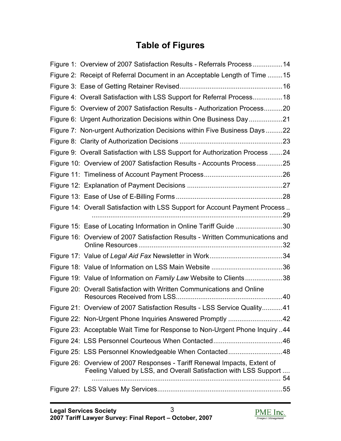# **Table of Figures**

| Figure 1: Overview of 2007 Satisfaction Results - Referrals Process14                                                                         |    |
|-----------------------------------------------------------------------------------------------------------------------------------------------|----|
| Figure 2: Receipt of Referral Document in an Acceptable Length of Time 15                                                                     |    |
|                                                                                                                                               |    |
| Figure 4: Overall Satisfaction with LSS Support for Referral Process18                                                                        |    |
| Figure 5: Overview of 2007 Satisfaction Results - Authorization Process20                                                                     |    |
| Figure 6: Urgent Authorization Decisions within One Business Day21                                                                            |    |
| Figure 7: Non-urgent Authorization Decisions within Five Business Days22                                                                      |    |
|                                                                                                                                               |    |
| Figure 9: Overall Satisfaction with LSS Support for Authorization Process 24                                                                  |    |
| Figure 10: Overview of 2007 Satisfaction Results - Accounts Process25                                                                         |    |
|                                                                                                                                               |    |
|                                                                                                                                               |    |
|                                                                                                                                               |    |
| Figure 14: Overall Satisfaction with LSS Support for Account Payment Process                                                                  |    |
|                                                                                                                                               |    |
| Figure 15: Ease of Locating Information in Online Tariff Guide 30                                                                             |    |
| Figure 16: Overview of 2007 Satisfaction Results - Written Communications and                                                                 |    |
|                                                                                                                                               |    |
|                                                                                                                                               |    |
| Figure 19: Value of Information on Family Law Website to Clients38                                                                            |    |
| Figure 20: Overall Satisfaction with Written Communications and Online                                                                        |    |
| Figure 21: Overview of 2007 Satisfaction Results - LSS Service Quality                                                                        | 41 |
| Figure 22: Non-Urgent Phone Inquiries Answered Promptly 42                                                                                    |    |
| Figure 23: Acceptable Wait Time for Response to Non-Urgent Phone Inquiry 44                                                                   |    |
|                                                                                                                                               |    |
| Figure 25: LSS Personnel Knowledgeable When Contacted48                                                                                       |    |
| Figure 26: Overview of 2007 Responses - Tariff Renewal Impacts, Extent of<br>Feeling Valued by LSS, and Overall Satisfaction with LSS Support |    |
|                                                                                                                                               |    |

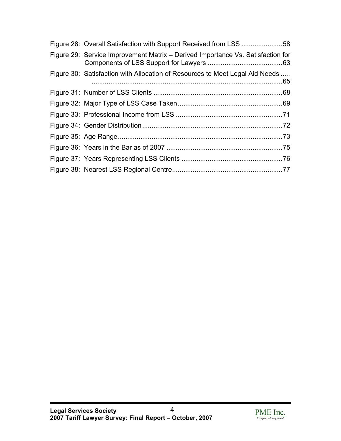| Figure 28: Overall Satisfaction with Support Received from LSS 58               |  |
|---------------------------------------------------------------------------------|--|
| Figure 29: Service Improvement Matrix – Derived Importance Vs. Satisfaction for |  |
| Figure 30: Satisfaction with Allocation of Resources to Meet Legal Aid Needs    |  |
|                                                                                 |  |
|                                                                                 |  |
|                                                                                 |  |
|                                                                                 |  |
|                                                                                 |  |
|                                                                                 |  |
|                                                                                 |  |
|                                                                                 |  |

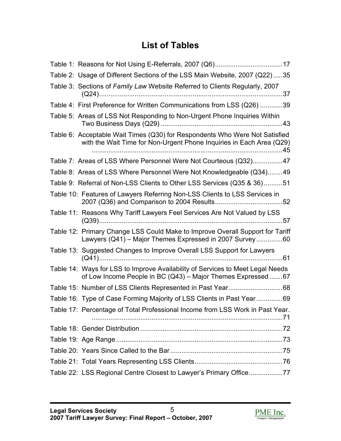# **List of Tables**

| Table 1: Reasons for Not Using E-Referrals, 2007 (Q6)17                                                                                             |  |
|-----------------------------------------------------------------------------------------------------------------------------------------------------|--|
| Table 2: Usage of Different Sections of the LSS Main Website, 2007 (Q22)35                                                                          |  |
| Table 3: Sections of Family Law Website Referred to Clients Regularly, 2007                                                                         |  |
| Table 4: First Preference for Written Communications from LSS (Q26) 39                                                                              |  |
| Table 5: Areas of LSS Not Responding to Non-Urgent Phone Inquiries Within                                                                           |  |
| Table 6: Acceptable Wait Times (Q30) for Respondents Who Were Not Satisfied<br>with the Wait Time for Non-Urgent Phone Inquiries in Each Area (Q29) |  |
| Table 7: Areas of LSS Where Personnel Were Not Courteous (Q32)47                                                                                    |  |
| Table 8: Areas of LSS Where Personnel Were Not Knowledgeable (Q34)49                                                                                |  |
| Table 9: Referral of Non-LSS Clients to Other LSS Services (Q35 & 36)51                                                                             |  |
| Table 10: Features of Lawyers Referring Non-LSS Clients to LSS Services in                                                                          |  |
| Table 11: Reasons Why Tariff Lawyers Feel Services Are Not Valued by LSS                                                                            |  |
| Table 12: Primary Change LSS Could Make to Improve Overall Support for Tariff<br>Lawyers (Q41) - Major Themes Expressed in 2007 Survey60            |  |
| Table 13: Suggested Changes to Improve Overall LSS Support for Lawyers                                                                              |  |
| Table 14: Ways for LSS to Improve Availability of Services to Meet Legal Needs<br>of Low Income People in BC (Q43) - Major Themes Expressed 67      |  |
|                                                                                                                                                     |  |
| Table 16: Type of Case Forming Majority of LSS Clients in Past Year69                                                                               |  |
| Table 17: Percentage of Total Professional Income from LSS Work in Past Year.                                                                       |  |
|                                                                                                                                                     |  |
|                                                                                                                                                     |  |
|                                                                                                                                                     |  |
|                                                                                                                                                     |  |
| Table 22: LSS Regional Centre Closest to Lawyer's Primary Office77                                                                                  |  |

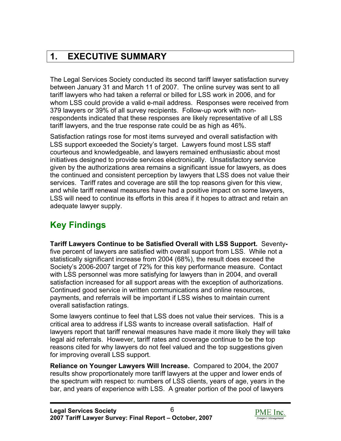# <span id="page-5-0"></span>**1. EXECUTIVE SUMMARY**

The Legal Services Society conducted its second tariff lawyer satisfaction survey between January 31 and March 11 of 2007. The online survey was sent to all tariff lawyers who had taken a referral or billed for LSS work in 2006, and for whom LSS could provide a valid e-mail address. Responses were received from 379 lawyers or 39% of all survey recipients. Follow-up work with nonrespondents indicated that these responses are likely representative of all LSS tariff lawyers, and the true response rate could be as high as 46%.

Satisfaction ratings rose for most items surveyed and overall satisfaction with LSS support exceeded the Society's target. Lawyers found most LSS staff courteous and knowledgeable, and lawyers remained enthusiastic about most initiatives designed to provide services electronically. Unsatisfactory service given by the authorizations area remains a significant issue for lawyers, as does the continued and consistent perception by lawyers that LSS does not value their services. Tariff rates and coverage are still the top reasons given for this view, and while tariff renewal measures have had a positive impact on some lawyers, LSS will need to continue its efforts in this area if it hopes to attract and retain an adequate lawyer supply.

# **Key Findings**

**Tariff Lawyers Continue to be Satisfied Overall with LSS Support.** Seventyfive percent of lawyers are satisfied with overall support from LSS. While not a statistically significant increase from 2004 (68%), the result does exceed the Society's 2006-2007 target of 72% for this key performance measure. Contact with LSS personnel was more satisfying for lawyers than in 2004, and overall satisfaction increased for all support areas with the exception of authorizations. Continued good service in written communications and online resources, payments, and referrals will be important if LSS wishes to maintain current overall satisfaction ratings.

Some lawyers continue to feel that LSS does not value their services. This is a critical area to address if LSS wants to increase overall satisfaction. Half of lawyers report that tariff renewal measures have made it more likely they will take legal aid referrals. However, tariff rates and coverage continue to be the top reasons cited for why lawyers do not feel valued and the top suggestions given for improving overall LSS support.

**Reliance on Younger Lawyers Will Increase.** Compared to 2004, the 2007 results show proportionately more tariff lawyers at the upper and lower ends of the spectrum with respect to: numbers of LSS clients, years of age, years in the bar, and years of experience with LSS. A greater portion of the pool of lawyers

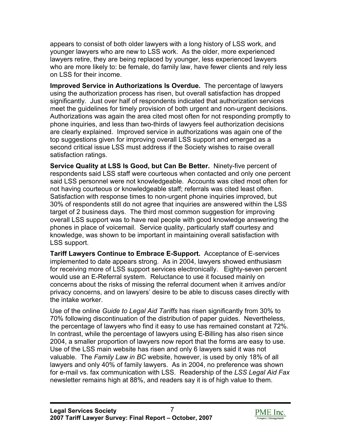appears to consist of both older lawyers with a long history of LSS work, and younger lawyers who are new to LSS work. As the older, more experienced lawyers retire, they are being replaced by younger, less experienced lawyers who are more likely to: be female, do family law, have fewer clients and rely less on LSS for their income.

**Improved Service in Authorizations Is Overdue.** The percentage of lawyers using the authorization process has risen, but overall satisfaction has dropped significantly. Just over half of respondents indicated that authorization services meet the guidelines for timely provision of both urgent and non-urgent decisions. Authorizations was again the area cited most often for not responding promptly to phone inquiries, and less than two-thirds of lawyers feel authorization decisions are clearly explained. Improved service in authorizations was again one of the top suggestions given for improving overall LSS support and emerged as a second critical issue LSS must address if the Society wishes to raise overall satisfaction ratings.

**Service Quality at LSS Is Good, but Can Be Better.** Ninety-five percent of respondents said LSS staff were courteous when contacted and only one percent said LSS personnel were not knowledgeable. Accounts was cited most often for not having courteous or knowledgeable staff; referrals was cited least often. Satisfaction with response times to non-urgent phone inquiries improved, but 30% of respondents still do not agree that inquiries are answered within the LSS target of 2 business days. The third most common suggestion for improving overall LSS support was to have real people with good knowledge answering the phones in place of voicemail. Service quality, particularly staff courtesy and knowledge, was shown to be important in maintaining overall satisfaction with LSS support.

**Tariff Lawyers Continue to Embrace E-Support.** Acceptance of E-services implemented to date appears strong. As in 2004, lawyers showed enthusiasm for receiving more of LSS support services electronically. Eighty-seven percent would use an E-Referral system. Reluctance to use it focused mainly on concerns about the risks of missing the referral document when it arrives and/or privacy concerns, and on lawyers' desire to be able to discuss cases directly with the intake worker.

Use of the online *Guide to Legal Aid Tariffs* has risen significantly from 30% to 70% following discontinuation of the distribution of paper guides. Nevertheless, the percentage of lawyers who find it easy to use has remained constant at 72%. In contrast, while the percentage of lawyers using E-Billing has also risen since 2004, a smaller proportion of lawyers now report that the forms are easy to use. Use of the LSS main website has risen and only 6 lawyers said it was not valuable. The *Family Law in BC* website, however, is used by only 18% of all lawyers and only 40% of family lawyers. As in 2004, no preference was shown for e-mail vs. fax communication with LSS. Readership of the *LSS Legal Aid Fax* newsletter remains high at 88%, and readers say it is of high value to them.

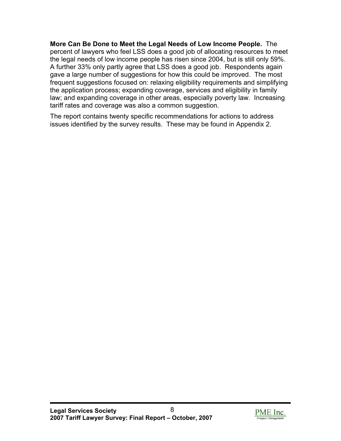**More Can Be Done to Meet the Legal Needs of Low Income People.** The percent of lawyers who feel LSS does a good job of allocating resources to meet the legal needs of low income people has risen since 2004, but is still only 59%. A further 33% only partly agree that LSS does a good job. Respondents again gave a large number of suggestions for how this could be improved. The most frequent suggestions focused on: relaxing eligibility requirements and simplifying the application process; expanding coverage, services and eligibility in family law; and expanding coverage in other areas, especially poverty law. Increasing tariff rates and coverage was also a common suggestion.

The report contains twenty specific recommendations for actions to address issues identified by the survey results. These may be found in Appendix 2.

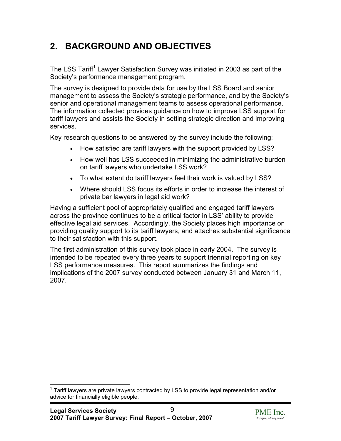# <span id="page-8-0"></span>**2. BACKGROUND AND OBJECTIVES**

The LSS Tariff<sup>1</sup> Lawyer Satisfaction Survey was initiated in 2003 as part of the Society's performance management program.

The survey is designed to provide data for use by the LSS Board and senior management to assess the Society's strategic performance, and by the Society's senior and operational management teams to assess operational performance. The information collected provides guidance on how to improve LSS support for tariff lawyers and assists the Society in setting strategic direction and improving services.

Key research questions to be answered by the survey include the following:

- How satisfied are tariff lawyers with the support provided by LSS?
- How well has LSS succeeded in minimizing the administrative burden on tariff lawyers who undertake LSS work?
- To what extent do tariff lawyers feel their work is valued by LSS?
- Where should LSS focus its efforts in order to increase the interest of private bar lawyers in legal aid work?

Having a sufficient pool of appropriately qualified and engaged tariff lawyers across the province continues to be a critical factor in LSS' ability to provide effective legal aid services. Accordingly, the Society places high importance on providing quality support to its tariff lawyers, and attaches substantial significance to their satisfaction with this support.

The first administration of this survey took place in early 2004. The survey is intended to be repeated every three years to support triennial reporting on key LSS performance measures. This report summarizes the findings and implications of the 2007 survey conducted between January 31 and March 11, 2007.



<sup>1</sup>  $1$  Tariff lawyers are private lawyers contracted by LSS to provide legal representation and/or advice for financially eligible people.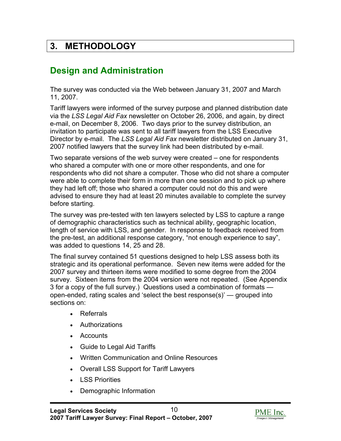## <span id="page-9-0"></span>**3. METHODOLOGY**

## **Design and Administration**

The survey was conducted via the Web between January 31, 2007 and March 11, 2007.

Tariff lawyers were informed of the survey purpose and planned distribution date via the *LSS Legal Aid Fax* newsletter on October 26, 2006, and again, by direct e-mail, on December 8, 2006. Two days prior to the survey distribution, an invitation to participate was sent to all tariff lawyers from the LSS Executive Director by e-mail. The *LSS Legal Aid Fax* newsletter distributed on January 31, 2007 notified lawyers that the survey link had been distributed by e-mail.

Two separate versions of the web survey were created – one for respondents who shared a computer with one or more other respondents, and one for respondents who did not share a computer. Those who did not share a computer were able to complete their form in more than one session and to pick up where they had left off; those who shared a computer could not do this and were advised to ensure they had at least 20 minutes available to complete the survey before starting.

The survey was pre-tested with ten lawyers selected by LSS to capture a range of demographic characteristics such as technical ability, geographic location, length of service with LSS, and gender. In response to feedback received from the pre-test, an additional response category, "not enough experience to say", was added to questions 14, 25 and 28.

The final survey contained 51 questions designed to help LSS assess both its strategic and its operational performance. Seven new items were added for the 2007 survey and thirteen items were modified to some degree from the 2004 survey. Sixteen items from the 2004 version were not repeated. (See Appendix 3 for a copy of the full survey.) Questions used a combination of formats open-ended, rating scales and 'select the best response(s)' — grouped into sections on:

- Referrals
- **Authorizations**
- Accounts
- Guide to Legal Aid Tariffs
- Written Communication and Online Resources
- Overall LSS Support for Tariff Lawyers
- LSS Priorities
- Demographic Information

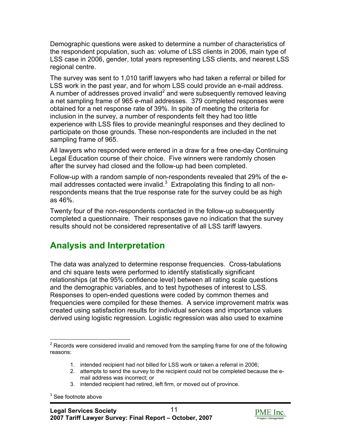Demographic questions were asked to determine a number of characteristics of the respondent population, such as: volume of LSS clients in 2006, main type of LSS case in 2006, gender, total years representing LSS clients, and nearest LSS regional centre.

The survey was sent to 1,010 tariff lawyers who had taken a referral or billed for LSS work in the past year, and for whom LSS could provide an e-mail address. A number of addresses proved invalid<sup>2</sup> and were subsequently removed leaving a net sampling frame of 965 e-mail addresses. 379 completed responses were obtained for a net response rate of 39%. In spite of meeting the criteria for inclusion in the survey, a number of respondents felt they had too little experience with LSS files to provide meaningful responses and they declined to participate on those grounds. These non-respondents are included in the net sampling frame of 965.

All lawyers who responded were entered in a draw for a free one-day Continuing Legal Education course of their choice. Five winners were randomly chosen after the survey had closed and the follow-up had been completed.

Follow-up with a random sample of non-respondents revealed that 29% of the email addresses contacted were invalid. $3$  Extrapolating this finding to all nonrespondents means that the true response rate for the survey could be as high as 46%.

Twenty four of the non-respondents contacted in the follow-up subsequently completed a questionnaire. Their responses gave no indication that the survey results should not be considered representative of all LSS tariff lawyers.

## **Analysis and Interpretation**

The data was analyzed to determine response frequencies. Cross-tabulations and chi square tests were performed to identify statistically significant relationships (at the 95% confidence level) between all rating scale questions and the demographic variables, and to test hypotheses of interest to LSS. Responses to open-ended questions were coded by common themes and frequencies were compiled for these themes. A service improvement matrix was created using satisfaction results for individual services and importance values derived using logistic regression. Logistic regression was also used to examine

- 1. intended recipient had not billed for LSS work or taken a referral in 2006;
- 2. attempts to send the survey to the recipient could not be completed because the email address was incorrect; or
- 3. intended recipient had retired, left firm, or moved out of province.

 $3$  See footnote above



 $\overline{a}$  $2$  Records were considered invalid and removed from the sampling frame for one of the following reasons: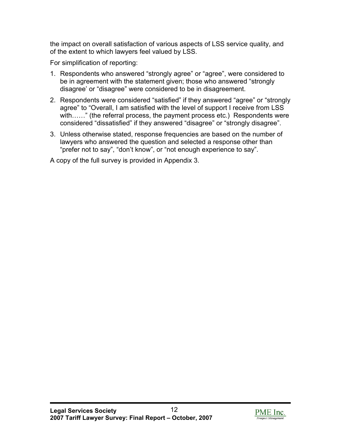the impact on overall satisfaction of various aspects of LSS service quality, and of the extent to which lawyers feel valued by LSS.

For simplification of reporting:

- 1. Respondents who answered "strongly agree" or "agree", were considered to be in agreement with the statement given; those who answered "strongly disagree' or "disagree" were considered to be in disagreement.
- 2. Respondents were considered "satisfied" if they answered "agree" or "strongly agree" to "Overall, I am satisfied with the level of support I receive from LSS with……" (the referral process, the payment process etc.) Respondents were considered "dissatisfied" if they answered "disagree" or "strongly disagree".
- 3. Unless otherwise stated, response frequencies are based on the number of lawyers who answered the question and selected a response other than "prefer not to say", "don't know", or "not enough experience to say".

A copy of the full survey is provided in Appendix 3.

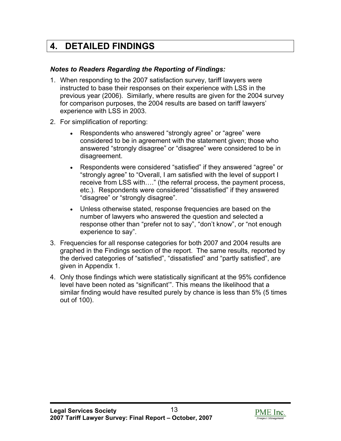# <span id="page-12-0"></span>**4. DETAILED FINDINGS**

### *Notes to Readers Regarding the Reporting of Findings:*

- 1. When responding to the 2007 satisfaction survey, tariff lawyers were instructed to base their responses on their experience with LSS in the previous year (2006). Similarly, where results are given for the 2004 survey for comparison purposes, the 2004 results are based on tariff lawyers' experience with LSS in 2003.
- 2. For simplification of reporting:
	- Respondents who answered "strongly agree" or "agree" were considered to be in agreement with the statement given; those who answered "strongly disagree" or "disagree" were considered to be in disagreement.
	- Respondents were considered "satisfied" if they answered "agree" or "strongly agree" to "Overall, I am satisfied with the level of support I receive from LSS with…." (the referral process, the payment process, etc.). Respondents were considered "dissatisfied" if they answered "disagree" or "strongly disagree".
	- Unless otherwise stated, response frequencies are based on the number of lawyers who answered the question and selected a response other than "prefer not to say", "don't know", or "not enough experience to say".
- 3. Frequencies for all response categories for both 2007 and 2004 results are graphed in the Findings section of the report. The same results, reported by the derived categories of "satisfied", "dissatisfied" and "partly satisfied", are given in Appendix 1.
- 4. Only those findings which were statistically significant at the 95% confidence level have been noted as "significant'". This means the likelihood that a similar finding would have resulted purely by chance is less than 5% (5 times out of 100).

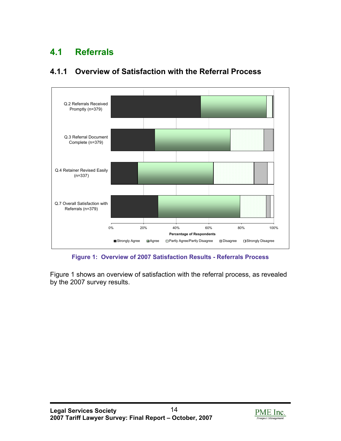# <span id="page-13-0"></span>**4.1 Referrals**



### **4.1.1 Overview of Satisfaction with the Referral Process**

**Figure 1: Overview of 2007 Satisfaction Results - Referrals Process** 

Figure 1 shows an overview of satisfaction with the referral process, as revealed by the 2007 survey results.

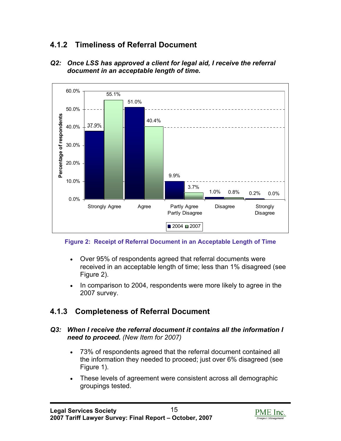### **4.1.2 Timeliness of Referral Document**



*Q2: Once LSS has approved a client for legal aid, I receive the referral document in an acceptable length of time.* 

#### **Figure 2: Receipt of Referral Document in an Acceptable Length of Time**

- Over 95% of respondents agreed that referral documents were received in an acceptable length of time; less than 1% disagreed (see Figure 2).
- In comparison to 2004, respondents were more likely to agree in the 2007 survey.

### **4.1.3 Completeness of Referral Document**

#### **Q3: When I receive the referral document it contains all the information I** *need to proceed. (New Item for 2007)*

- 73% of respondents agreed that the referral document contained all the information they needed to proceed; just over 6% disagreed (see Figure 1).
- These levels of agreement were consistent across all demographic groupings tested.

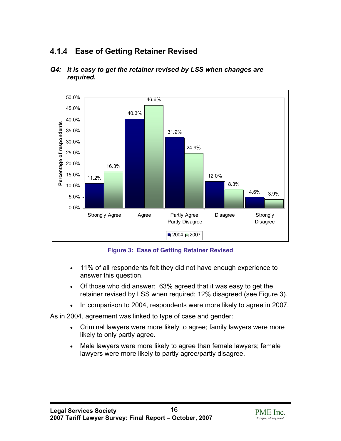## **4.1.4 Ease of Getting Retainer Revised**



#### *Q4: It is easy to get the retainer revised by LSS when changes are required.*

**Figure 3: Ease of Getting Retainer Revised** 

- 11% of all respondents felt they did not have enough experience to answer this question.
- Of those who did answer: 63% agreed that it was easy to get the retainer revised by LSS when required; 12% disagreed (see Figure 3).
- In comparison to 2004, respondents were more likely to agree in 2007.

As in 2004, agreement was linked to type of case and gender:

- Criminal lawyers were more likely to agree; family lawyers were more likely to only partly agree.
- Male lawyers were more likely to agree than female lawyers; female lawyers were more likely to partly agree/partly disagree.

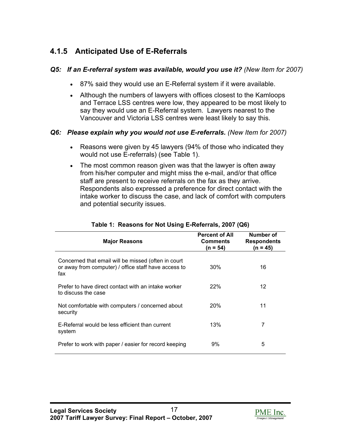## **4.1.5 Anticipated Use of E-Referrals**

### *Q5: If an E-referral system was available, would you use it? (New Item for 2007)*

- 87% said they would use an E-Referral system if it were available.
- Although the numbers of lawyers with offices closest to the Kamloops and Terrace LSS centres were low, they appeared to be most likely to say they would use an E-Referral system. Lawyers nearest to the Vancouver and Victoria LSS centres were least likely to say this.

#### *Q6: Please explain why you would not use E-referrals. (New Item for 2007)*

- Reasons were given by 45 lawyers (94% of those who indicated they would not use E-referrals) (see Table 1).
- The most common reason given was that the lawyer is often away from his/her computer and might miss the e-mail, and/or that office staff are present to receive referrals on the fax as they arrive. Respondents also expressed a preference for direct contact with the intake worker to discuss the case, and lack of comfort with computers and potential security issues.

| <b>Major Reasons</b>                                                                                               | <b>Percent of All</b><br><b>Comments</b><br>$(n = 54)$ | Number of<br><b>Respondents</b><br>(n = 45) |
|--------------------------------------------------------------------------------------------------------------------|--------------------------------------------------------|---------------------------------------------|
| Concerned that email will be missed (often in court<br>or away from computer) / office staff have access to<br>fax | 30%                                                    | 16                                          |
| Prefer to have direct contact with an intake worker<br>to discuss the case                                         | 22%                                                    | 12                                          |
| Not comfortable with computers / concerned about<br>security                                                       | 20%                                                    | 11                                          |
| E-Referral would be less efficient than current<br>system                                                          | 13%                                                    | 7                                           |
| Prefer to work with paper / easier for record keeping                                                              | 9%                                                     | 5                                           |

#### **Table 1: Reasons for Not Using E-Referrals, 2007 (Q6)**

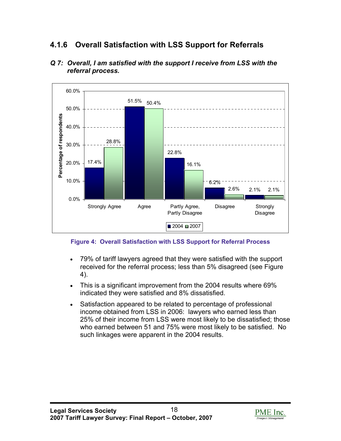### **4.1.6 Overall Satisfaction with LSS Support for Referrals**



*Q 7: Overall, I am satisfied with the support I receive from LSS with the referral process.* 

**Figure 4: Overall Satisfaction with LSS Support for Referral Process** 

- 79% of tariff lawyers agreed that they were satisfied with the support received for the referral process; less than 5% disagreed (see Figure 4).
- This is a significant improvement from the 2004 results where 69% indicated they were satisfied and 8% dissatisfied.
- Satisfaction appeared to be related to percentage of professional income obtained from LSS in 2006: lawyers who earned less than 25% of their income from LSS were most likely to be dissatisfied; those who earned between 51 and 75% were most likely to be satisfied. No such linkages were apparent in the 2004 results.

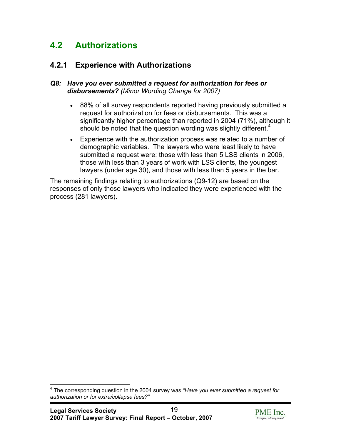## <span id="page-18-0"></span>**4.2 Authorizations**

### **4.2.1 Experience with Authorizations**

#### *Q8: Have you ever submitted a request for authorization for fees or disbursements? (Minor Wording Change for 2007)*

- 88% of all survey respondents reported having previously submitted a request for authorization for fees or disbursements. This was a significantly higher percentage than reported in 2004 (71%), although it should be noted that the question wording was slightly different.<sup>4</sup>
- Experience with the authorization process was related to a number of demographic variables. The lawyers who were least likely to have submitted a request were: those with less than 5 LSS clients in 2006, those with less than 3 years of work with LSS clients, the youngest lawyers (under age 30), and those with less than 5 years in the bar.

The remaining findings relating to authorizations (Q9-12) are based on the responses of only those lawyers who indicated they were experienced with the process (281 lawyers).

 $\overline{a}$ 



<sup>4</sup> The corresponding question in the 2004 survey was *"Have you ever submitted a request for authorization or for extra/collapse fees?"*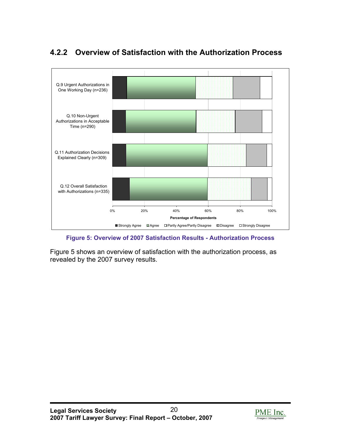

## **4.2.2 Overview of Satisfaction with the Authorization Process**

**Figure 5: Overview of 2007 Satisfaction Results - Authorization Process** 

Figure 5 shows an overview of satisfaction with the authorization process, as revealed by the 2007 survey results.

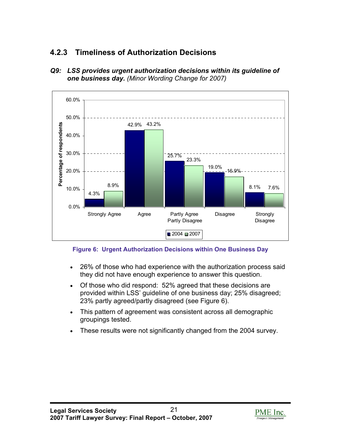## **4.2.3 Timeliness of Authorization Decisions**



*Q9: LSS provides urgent authorization decisions within its guideline of one business day. (Minor Wording Change for 2007)*

**Figure 6: Urgent Authorization Decisions within One Business Day** 

- 26% of those who had experience with the authorization process said they did not have enough experience to answer this question.
- Of those who did respond: 52% agreed that these decisions are provided within LSS' guideline of one business day; 25% disagreed; 23% partly agreed/partly disagreed (see Figure 6).
- This pattern of agreement was consistent across all demographic groupings tested.
- These results were not significantly changed from the 2004 survey.

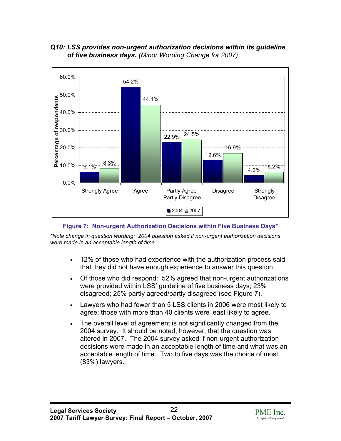*Q10: LSS provides non-urgent authorization decisions within its guideline of five business days. (Minor Wording Change for 2007)*



**Figure 7: Non-urgent Authorization Decisions within Five Business Days\*** 

*\*Note change in question wording: 2004 question asked if non-urgent authorization decisions were made in an acceptable length of time.*

- 12% of those who had experience with the authorization process said that they did not have enough experience to answer this question.
- Of those who did respond: 52% agreed that non-urgent authorizations were provided within LSS' guideline of five business days; 23% disagreed; 25% partly agreed/partly disagreed (see Figure 7).
- Lawyers who had fewer than 5 LSS clients in 2006 were most likely to agree; those with more than 40 clients were least likely to agree.
- The overall level of agreement is not significantly changed from the 2004 survey. It should be noted, however, that the question was altered in 2007. The 2004 survey asked if non-urgent authorization decisions were made in an acceptable length of time and what was an acceptable length of time. Two to five days was the choice of most (83%) lawyers.

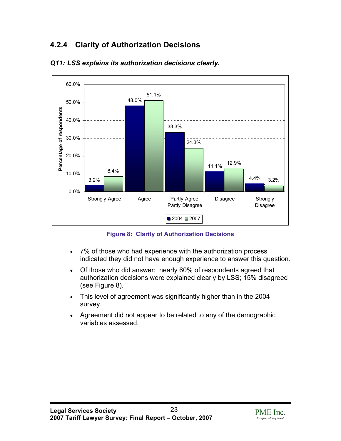## **4.2.4 Clarity of Authorization Decisions**



#### *Q11: LSS explains its authorization decisions clearly.*

**Figure 8: Clarity of Authorization Decisions** 

- 7% of those who had experience with the authorization process indicated they did not have enough experience to answer this question.
- Of those who did answer: nearly 60% of respondents agreed that authorization decisions were explained clearly by LSS; 15% disagreed (see Figure 8).
- This level of agreement was significantly higher than in the 2004 survey.
- Agreement did not appear to be related to any of the demographic variables assessed.

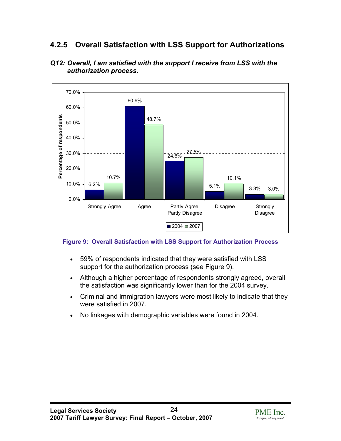### **4.2.5 Overall Satisfaction with LSS Support for Authorizations**





#### **Figure 9: Overall Satisfaction with LSS Support for Authorization Process**

- 59% of respondents indicated that they were satisfied with LSS support for the authorization process (see Figure 9).
- Although a higher percentage of respondents strongly agreed, overall the satisfaction was significantly lower than for the 2004 survey.
- Criminal and immigration lawyers were most likely to indicate that they were satisfied in 2007.
- No linkages with demographic variables were found in 2004.

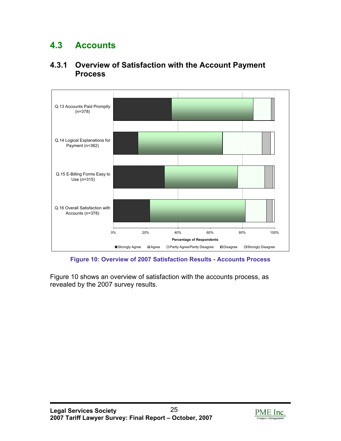# <span id="page-24-0"></span>**4.3 Accounts**





**Figure 10: Overview of 2007 Satisfaction Results - Accounts Process** 

Figure 10 shows an overview of satisfaction with the accounts process, as revealed by the 2007 survey results.

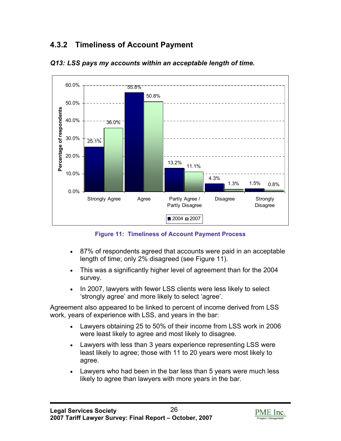## **4.3.2 Timeliness of Account Payment**



*Q13: LSS pays my accounts within an acceptable length of time.* 

**Figure 11: Timeliness of Account Payment Process** 

- 87% of respondents agreed that accounts were paid in an acceptable length of time; only 2% disagreed (see Figure 11).
- This was a significantly higher level of agreement than for the 2004 survey.
- In 2007, lawyers with fewer LSS clients were less likely to select 'strongly agree' and more likely to select 'agree'.

Agreement also appeared to be linked to percent of income derived from LSS work, years of experience with LSS, and years in the bar:

- Lawyers obtaining 25 to 50% of their income from LSS work in 2006 were least likely to agree and most likely to disagree.
- Lawyers with less than 3 years experience representing LSS were least likely to agree; those with 11 to 20 years were most likely to agree.
- Lawyers who had been in the bar less than 5 years were much less likely to agree than lawyers with more years in the bar.

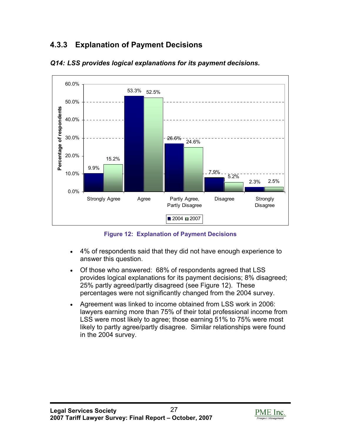## **4.3.3 Explanation of Payment Decisions**



*Q14: LSS provides logical explanations for its payment decisions.* 

**Figure 12: Explanation of Payment Decisions** 

- 4% of respondents said that they did not have enough experience to answer this question.
- Of those who answered: 68% of respondents agreed that LSS provides logical explanations for its payment decisions; 8% disagreed; 25% partly agreed/partly disagreed (see Figure 12). These percentages were not significantly changed from the 2004 survey.
- Agreement was linked to income obtained from LSS work in 2006: lawyers earning more than 75% of their total professional income from LSS were most likely to agree; those earning 51% to 75% were most likely to partly agree/partly disagree. Similar relationships were found in the 2004 survey.

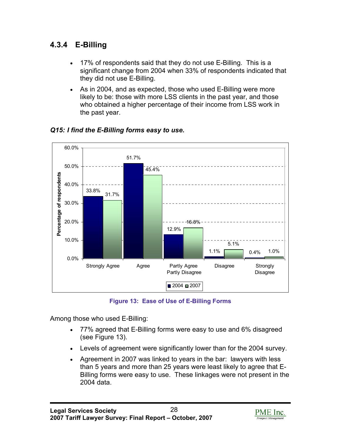### **4.3.4 E-Billing**

- 17% of respondents said that they do not use E-Billing. This is a significant change from 2004 when 33% of respondents indicated that they did not use E-Billing.
- As in 2004, and as expected, those who used E-Billing were more likely to be: those with more LSS clients in the past year, and those who obtained a higher percentage of their income from LSS work in the past year.



### *Q15: I find the E-Billing forms easy to use.*

**Figure 13: Ease of Use of E-Billing Forms** 

Among those who used E-Billing:

- 77% agreed that E-Billing forms were easy to use and 6% disagreed (see Figure 13).
- Levels of agreement were significantly lower than for the 2004 survey.
- Agreement in 2007 was linked to years in the bar: lawyers with less than 5 years and more than 25 years were least likely to agree that E-Billing forms were easy to use. These linkages were not present in the 2004 data.

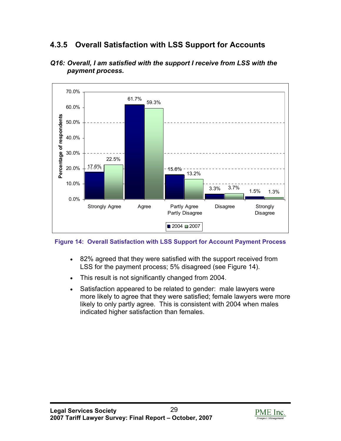### **4.3.5 Overall Satisfaction with LSS Support for Accounts**





**Figure 14: Overall Satisfaction with LSS Support for Account Payment Process** 

- 82% agreed that they were satisfied with the support received from LSS for the payment process; 5% disagreed (see Figure 14).
- This result is not significantly changed from 2004.
- Satisfaction appeared to be related to gender: male lawyers were more likely to agree that they were satisfied; female lawyers were more likely to only partly agree. This is consistent with 2004 when males indicated higher satisfaction than females.

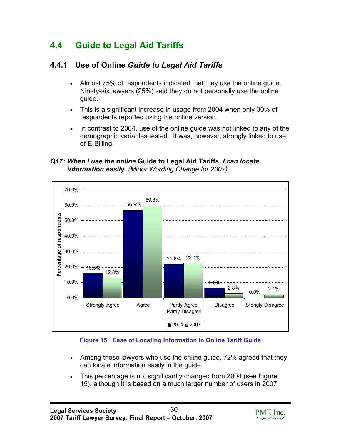## <span id="page-29-0"></span>**4.4 Guide to Legal Aid Tariffs**

### **4.4.1 Use of Online** *Guide to Legal Aid Tariffs*

- Almost 75% of respondents indicated that they use the online guide. Ninety-six lawyers (25%) said they do not personally use the online guide.
- This is a significant increase in usage from 2004 when only 30% of respondents reported using the online version.
- In contrast to 2004, use of the online guide was not linked to any of the demographic variables tested. It was, however, strongly linked to use of E-Billing.

*Q17: When I use the online* **Guide to Legal Aid Tariffs***, I can locate information easily. (Minor Wording Change for 2007)*



#### **Figure 15: Ease of Locating Information in Online Tariff Guide**

- Among those lawyers who use the online guide, 72% agreed that they can locate information easily in the guide.
- This percentage is not significantly changed from 2004 (see Figure 15), although it is based on a much larger number of users in 2007.

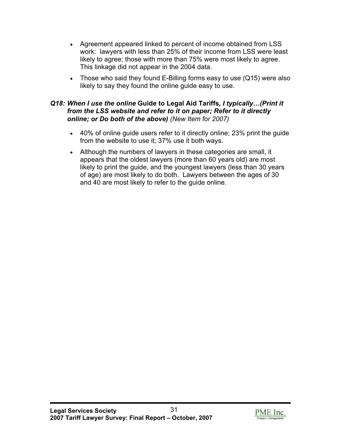- Agreement appeared linked to percent of income obtained from LSS work: lawyers with less than 25% of their income from LSS were least likely to agree; those with more than 75% were most likely to agree. This linkage did not appear in the 2004 data.
- Those who said they found E-Billing forms easy to use (Q15) were also likely to say they found the online guide easy to use.

#### *Q18: When I use the online* **Guide to Legal Aid Tariffs***, I typically…(Print it from the LSS website and refer to it on paper; Refer to it directly online; or Do both of the above) (New Item for 2007)*

- 40% of online guide users refer to it directly online; 23% print the guide from the website to use it; 37% use it both ways.
- Although the numbers of lawyers in these categories are small, it appears that the oldest lawyers (more than 60 years old) are most likely to print the guide, and the youngest lawyers (less than 30 years of age) are most likely to do both. Lawyers between the ages of 30 and 40 are most likely to refer to the guide online.

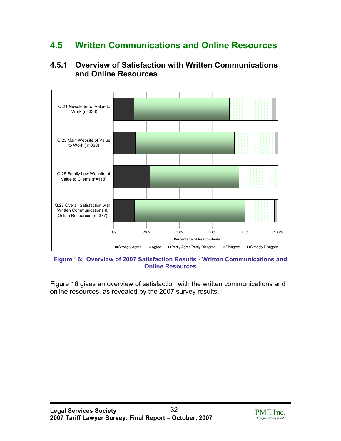## <span id="page-31-0"></span>**4.5 Written Communications and Online Resources**

### **4.5.1 Overview of Satisfaction with Written Communications and Online Resources**



**Figure 16: Overview of 2007 Satisfaction Results - Written Communications and Online Resources** 

Figure 16 gives an overview of satisfaction with the written communications and online resources, as revealed by the 2007 survey results.

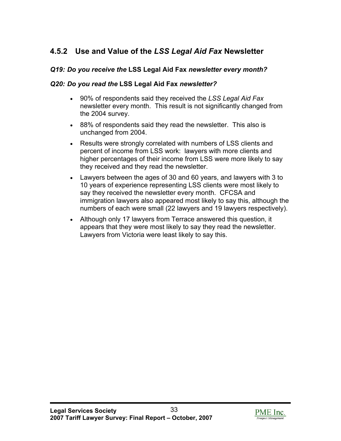## **4.5.2 Use and Value of the** *LSS Legal Aid Fax* **Newsletter**

### *Q19: Do you receive the* **LSS Legal Aid Fax** *newsletter every month?*

#### *Q20: Do you read the* **LSS Legal Aid Fax** *newsletter?*

- 90% of respondents said they received the *LSS Legal Aid Fax* newsletter every month. This result is not significantly changed from the 2004 survey.
- 88% of respondents said they read the newsletter. This also is unchanged from 2004.
- Results were strongly correlated with numbers of LSS clients and percent of income from LSS work: lawyers with more clients and higher percentages of their income from LSS were more likely to say they received and they read the newsletter.
- Lawyers between the ages of 30 and 60 years, and lawyers with 3 to 10 years of experience representing LSS clients were most likely to say they received the newsletter every month. CFCSA and immigration lawyers also appeared most likely to say this, although the numbers of each were small (22 lawyers and 19 lawyers respectively).
- Although only 17 lawyers from Terrace answered this question, it appears that they were most likely to say they read the newsletter. Lawyers from Victoria were least likely to say this.

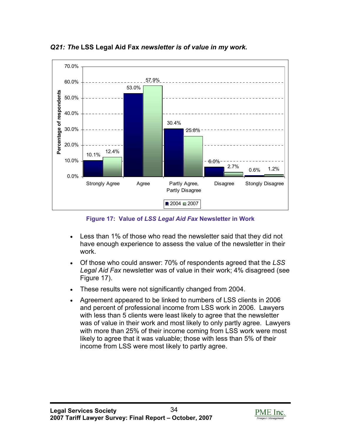

*Q21: The* **LSS Legal Aid Fax** *newsletter is of value in my work.* 

**Figure 17: Value of** *LSS Legal Aid Fax* **Newsletter in Work** 

- Less than 1% of those who read the newsletter said that they did not have enough experience to assess the value of the newsletter in their work.
- Of those who could answer: 70% of respondents agreed that the *LSS Legal Aid Fax* newsletter was of value in their work; 4% disagreed (see Figure 17).
- These results were not significantly changed from 2004.
- Agreement appeared to be linked to numbers of LSS clients in 2006 and percent of professional income from LSS work in 2006. Lawyers with less than 5 clients were least likely to agree that the newsletter was of value in their work and most likely to only partly agree. Lawyers with more than 25% of their income coming from LSS work were most likely to agree that it was valuable; those with less than 5% of their income from LSS were most likely to partly agree.

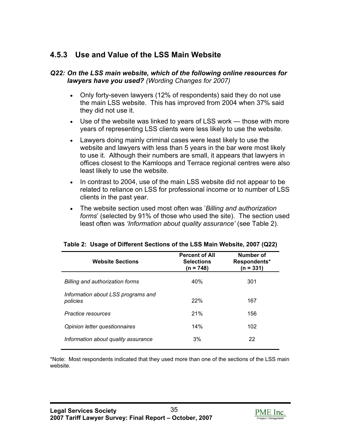### **4.5.3 Use and Value of the LSS Main Website**

#### *Q22: On the LSS main website, which of the following online resources for lawyers have you used? (Wording Changes for 2007)*

- Only forty-seven lawyers (12% of respondents) said they do not use the main LSS website. This has improved from 2004 when 37% said they did not use it.
- Use of the website was linked to years of LSS work those with more years of representing LSS clients were less likely to use the website.
- Lawyers doing mainly criminal cases were least likely to use the website and lawyers with less than 5 years in the bar were most likely to use it. Although their numbers are small, it appears that lawyers in offices closest to the Kamloops and Terrace regional centres were also least likely to use the website.
- In contrast to 2004, use of the main LSS website did not appear to be related to reliance on LSS for professional income or to number of LSS clients in the past year.
- The website section used most often was '*Billing and authorization forms*' (selected by 91% of those who used the site). The section used least often was *'Information about quality assurance'* (see Table 2).

| <b>Website Sections</b>                        | <b>Percent of All</b><br><b>Selections</b><br>(n = 748) | Number of<br>Respondents*<br>$(n = 331)$ |
|------------------------------------------------|---------------------------------------------------------|------------------------------------------|
| Billing and authorization forms                | 40%                                                     | 301                                      |
| Information about LSS programs and<br>policies | 22%                                                     | 167                                      |
| Practice resources                             | 21%                                                     | 156                                      |
| Opinion letter questionnaires                  | 14%                                                     | 102                                      |
| Information about quality assurance            | 3%                                                      | 22                                       |

| Table 2: Usage of Different Sections of the LSS Main Website, 2007 (Q22) |  |  |  |
|--------------------------------------------------------------------------|--|--|--|
|                                                                          |  |  |  |

\*Note: Most respondents indicated that they used more than one of the sections of the LSS main website.

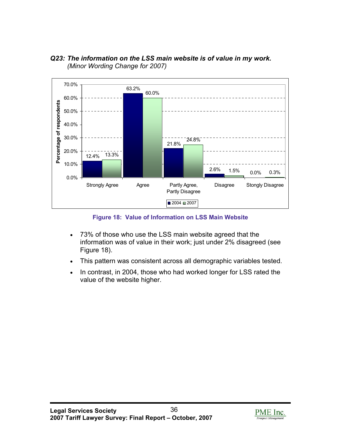

### *Q23: The information on the LSS main website is of value in my work. (Minor Wording Change for 2007)*

**Figure 18: Value of Information on LSS Main Website** 

- 73% of those who use the LSS main website agreed that the information was of value in their work; just under 2% disagreed (see Figure 18).
- This pattern was consistent across all demographic variables tested.
- In contrast, in 2004, those who had worked longer for LSS rated the value of the website higher.

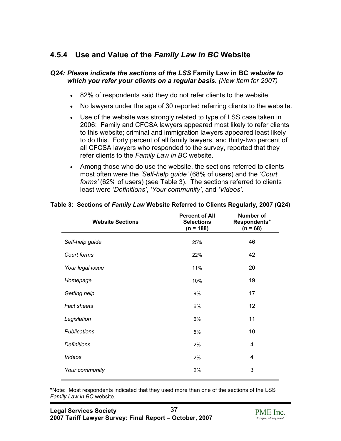### **4.5.4 Use and Value of the** *Family Law in BC* **Website**

#### *Q24: Please indicate the sections of the LSS* **Family Law in BC** *website to which you refer your clients on a regular basis. (New Item for 2007)*

- 82% of respondents said they do not refer clients to the website.
- No lawyers under the age of 30 reported referring clients to the website.
- Use of the website was strongly related to type of LSS case taken in 2006: Family and CFCSA lawyers appeared most likely to refer clients to this website; criminal and immigration lawyers appeared least likely to do this. Forty percent of all family lawyers, and thirty-two percent of all CFCSA lawyers who responded to the survey, reported that they refer clients to the *Family Law in BC* website.
- Among those who do use the website, the sections referred to clients most often were the *'Self-help guide'* (68% of users) and the *'Court forms'* (62% of users) (see Table 3). The sections referred to clients least were *'Definitions'*, *'Your community'*, and *'Videos'*.

| <b>Website Sections</b> | <b>Percent of All</b><br><b>Selections</b><br>$(n = 188)$ | <b>Number of</b><br>Respondents*<br>$(n = 68)$ |
|-------------------------|-----------------------------------------------------------|------------------------------------------------|
| Self-help guide         | 25%                                                       | 46                                             |
| Court forms             | 22%                                                       | 42                                             |
| Your legal issue        | 11%                                                       | 20                                             |
| Homepage                | 10%                                                       | 19                                             |
| Getting help            | 9%                                                        | 17                                             |
| <b>Fact sheets</b>      | 6%                                                        | 12                                             |
| Legislation             | 6%                                                        | 11                                             |
| <b>Publications</b>     | 5%                                                        | 10                                             |
| <b>Definitions</b>      | 2%                                                        | 4                                              |
| Videos                  | 2%                                                        | 4                                              |
| Your community          | 2%                                                        | 3                                              |

#### **Table 3: Sections of** *Family Law* **Website Referred to Clients Regularly, 2007 (Q24)**

\*Note: Most respondents indicated that they used more than one of the sections of the LSS *Family Law in BC* website.

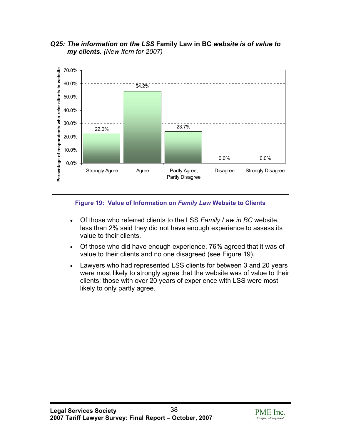

*Q25: The information on the LSS* **Family Law in BC** *website is of value to my clients. (New Item for 2007)*

**Figure 19: Value of Information on** *Family Law* **Website to Clients** 

- Of those who referred clients to the LSS *Family Law in BC* website, less than 2% said they did not have enough experience to assess its value to their clients.
- Of those who did have enough experience, 76% agreed that it was of value to their clients and no one disagreed (see Figure 19).
- Lawyers who had represented LSS clients for between 3 and 20 years were most likely to strongly agree that the website was of value to their clients; those with over 20 years of experience with LSS were most likely to only partly agree.

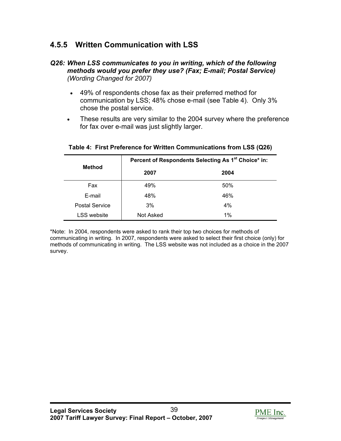### **4.5.5 Written Communication with LSS**

#### *Q26: When LSS communicates to you in writing, which of the following methods would you prefer they use? (Fax; E-mail; Postal Service) (Wording Changed for 2007)*

- 49% of respondents chose fax as their preferred method for communication by LSS; 48% chose e-mail (see Table 4). Only 3% chose the postal service.
- These results are very similar to the 2004 survey where the preference for fax over e-mail was just slightly larger.

| <b>Method</b>         | Percent of Respondents Selecting As 1 <sup>st</sup> Choice* in: |      |  |
|-----------------------|-----------------------------------------------------------------|------|--|
|                       | 2007                                                            | 2004 |  |
| Fax                   | 49%                                                             | 50%  |  |
| E-mail                | 48%                                                             | 46%  |  |
| <b>Postal Service</b> | 3%                                                              | 4%   |  |
| <b>LSS</b> website    | Not Asked                                                       | 1%   |  |

#### **Table 4: First Preference for Written Communications from LSS (Q26)**

\*Note: In 2004, respondents were asked to rank their top two choices for methods of communicating in writing. In 2007, respondents were asked to select their first choice (only) for methods of communicating in writing. The LSS website was not included as a choice in the 2007 survey.

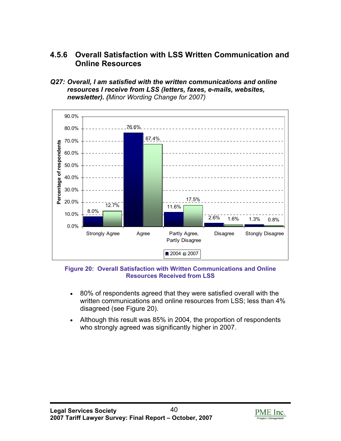### **4.5.6 Overall Satisfaction with LSS Written Communication and Online Resources**

*Q27: Overall, I am satisfied with the written communications and online resources I receive from LSS (letters, faxes, e-mails, websites, newsletter). (Minor Wording Change for 2007)*



**Figure 20: Overall Satisfaction with Written Communications and Online Resources Received from LSS** 

- 80% of respondents agreed that they were satisfied overall with the written communications and online resources from LSS; less than 4% disagreed (see Figure 20).
- Although this result was 85% in 2004, the proportion of respondents who strongly agreed was significantly higher in 2007.

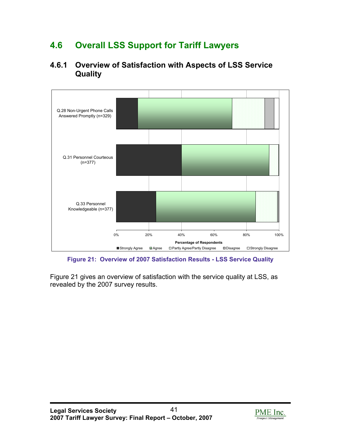# **4.6 Overall LSS Support for Tariff Lawyers**

### **4.6.1 Overview of Satisfaction with Aspects of LSS Service Quality**



**Figure 21: Overview of 2007 Satisfaction Results - LSS Service Quality** 

Figure 21 gives an overview of satisfaction with the service quality at LSS, as revealed by the 2007 survey results.

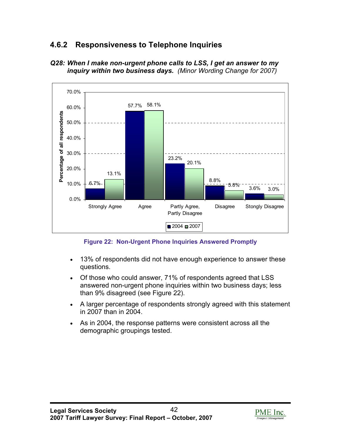## **4.6.2 Responsiveness to Telephone Inquiries**



*Q28: When I make non-urgent phone calls to LSS, I get an answer to my inquiry within two business days. (Minor Wording Change for 2007)* 

**Figure 22: Non-Urgent Phone Inquiries Answered Promptly** 

- 13% of respondents did not have enough experience to answer these questions.
- Of those who could answer, 71% of respondents agreed that LSS answered non-urgent phone inquiries within two business days; less than 9% disagreed (see Figure 22).
- A larger percentage of respondents strongly agreed with this statement in 2007 than in 2004.
- As in 2004, the response patterns were consistent across all the demographic groupings tested.

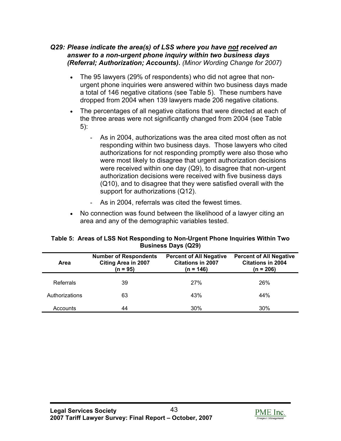#### *Q29: Please indicate the area(s) of LSS where you have not received an answer to a non-urgent phone inquiry within two business days (Referral; Authorization; Accounts). (Minor Wording Change for 2007)*

- The 95 lawyers (29% of respondents) who did not agree that nonurgent phone inquiries were answered within two business days made a total of 146 negative citations (see Table 5). These numbers have dropped from 2004 when 139 lawyers made 206 negative citations.
- The percentages of all negative citations that were directed at each of the three areas were not significantly changed from 2004 (see Table 5):
	- As in 2004, authorizations was the area cited most often as not responding within two business days. Those lawyers who cited authorizations for not responding promptly were also those who were most likely to disagree that urgent authorization decisions were received within one day (Q9), to disagree that non-urgent authorization decisions were received with five business days (Q10), and to disagree that they were satisfied overall with the support for authorizations (Q12).
	- As in 2004, referrals was cited the fewest times.
- No connection was found between the likelihood of a lawyer citing an area and any of the demographic variables tested.

| Area           | <b>Number of Respondents</b><br><b>Citing Area in 2007</b><br>(n = 95) | <b>Percent of All Negative</b><br><b>Citations in 2007</b><br>$(n = 146)$ | <b>Percent of All Negative</b><br><b>Citations in 2004</b><br>$(n = 206)$ |  |
|----------------|------------------------------------------------------------------------|---------------------------------------------------------------------------|---------------------------------------------------------------------------|--|
| Referrals      | 39                                                                     | 27%                                                                       | 26%                                                                       |  |
| Authorizations | 63                                                                     | 43%                                                                       | 44%                                                                       |  |
| Accounts       | 44                                                                     | 30%                                                                       | 30%                                                                       |  |

#### **Table 5: Areas of LSS Not Responding to Non-Urgent Phone Inquiries Within Two Business Days (Q29)**

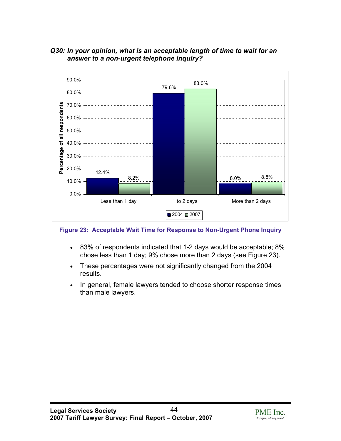

#### *Q30: In your opinion, what is an acceptable length of time to wait for an answer to a non-urgent telephone inquiry?*

**Figure 23: Acceptable Wait Time for Response to Non-Urgent Phone Inquiry** 

- 83% of respondents indicated that 1-2 days would be acceptable; 8% chose less than 1 day; 9% chose more than 2 days (see Figure 23).
- These percentages were not significantly changed from the 2004 results.
- In general, female lawyers tended to choose shorter response times than male lawyers.

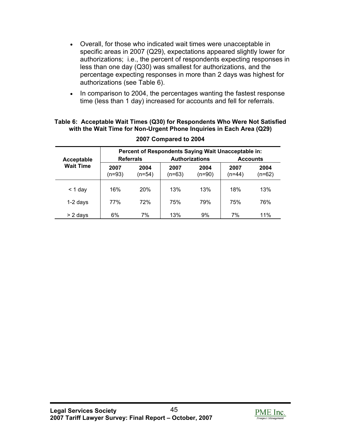- Overall, for those who indicated wait times were unacceptable in specific areas in 2007 (Q29), expectations appeared slightly lower for authorizations; i.e., the percent of respondents expecting responses in less than one day (Q30) was smallest for authorizations, and the percentage expecting responses in more than 2 days was highest for authorizations (see Table 6).
- In comparison to 2004, the percentages wanting the fastest response time (less than 1 day) increased for accounts and fell for referrals.

#### **Table 6: Acceptable Wait Times (Q30) for Respondents Who Were Not Satisfied with the Wait Time for Non-Urgent Phone Inquiries in Each Area (Q29)**

| Acceptable       | Percent of Respondents Saying Wait Unacceptable in:<br><b>Authorizations</b><br><b>Referrals</b><br><b>Accounts</b> |                |                |                |                |                |
|------------------|---------------------------------------------------------------------------------------------------------------------|----------------|----------------|----------------|----------------|----------------|
| <b>Wait Time</b> | 2007<br>(n=93)                                                                                                      | 2004<br>(n=54) | 2007<br>(n=63) | 2004<br>(n=90) | 2007<br>(n=44) | 2004<br>(n=62) |
| < 1 day          | 16%                                                                                                                 | <b>20%</b>     | 13%            | 13%            | 18%            | 13%            |
| 1-2 days         | 77%                                                                                                                 | 72%            | 75%            | 79%            | 75%            | 76%            |
| > 2 days         | 6%                                                                                                                  | 7%             | 13%            | 9%             | 7%             | 11%            |

#### **2007 Compared to 2004**

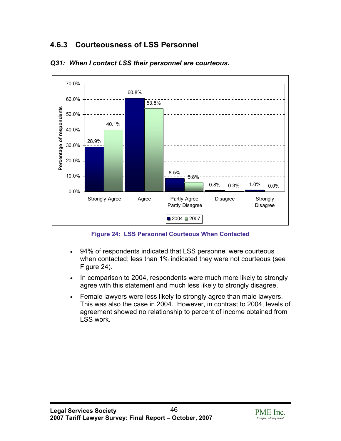# **4.6.3 Courteousness of LSS Personnel**



#### *Q31: When I contact LSS their personnel are courteous.*

**Figure 24: LSS Personnel Courteous When Contacted** 

- 94% of respondents indicated that LSS personnel were courteous when contacted; less than 1% indicated they were not courteous (see Figure 24).
- In comparison to 2004, respondents were much more likely to strongly agree with this statement and much less likely to strongly disagree.
- Female lawyers were less likely to strongly agree than male lawyers. This was also the case in 2004. However, in contrast to 2004, levels of agreement showed no relationship to percent of income obtained from LSS work.

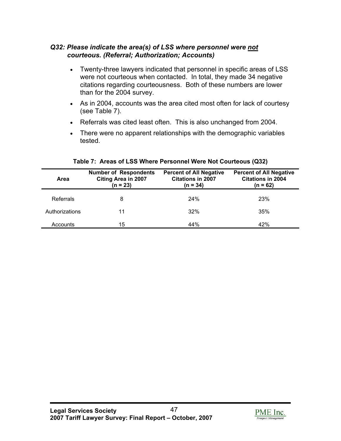#### *Q32: Please indicate the area(s) of LSS where personnel were not courteous. (Referral; Authorization; Accounts)*

- Twenty-three lawyers indicated that personnel in specific areas of LSS were not courteous when contacted. In total, they made 34 negative citations regarding courteousness. Both of these numbers are lower than for the 2004 survey.
- As in 2004, accounts was the area cited most often for lack of courtesy (see Table 7).
- Referrals was cited least often. This is also unchanged from 2004.
- There were no apparent relationships with the demographic variables tested.

| Area           | <b>Number of Respondents</b><br><b>Citing Area in 2007</b><br>$(n = 23)$ | <b>Percent of All Negative</b><br><b>Citations in 2007</b><br>$(n = 34)$ | <b>Percent of All Negative</b><br><b>Citations in 2004</b><br>$(n = 62)$ |
|----------------|--------------------------------------------------------------------------|--------------------------------------------------------------------------|--------------------------------------------------------------------------|
| Referrals      | 8                                                                        | 24%                                                                      | <b>23%</b>                                                               |
| Authorizations | 11                                                                       | 32%                                                                      | 35%                                                                      |
| Accounts       | 15                                                                       | 44%                                                                      | 42%                                                                      |

#### **Table 7: Areas of LSS Where Personnel Were Not Courteous (Q32)**

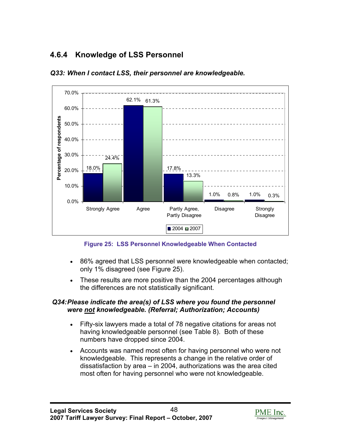# **4.6.4 Knowledge of LSS Personnel**



#### *Q33: When I contact LSS, their personnel are knowledgeable.*

**Figure 25: LSS Personnel Knowledgeable When Contacted** 

- 86% agreed that LSS personnel were knowledgeable when contacted; only 1% disagreed (see Figure 25).
- These results are more positive than the 2004 percentages although the differences are not statistically significant.

#### *Q34: Please indicate the area(s) of LSS where you found the personnel were not knowledgeable. (Referral; Authorization; Accounts)*

- Fifty-six lawyers made a total of 78 negative citations for areas not having knowledgeable personnel (see Table 8). Both of these numbers have dropped since 2004.
- Accounts was named most often for having personnel who were not knowledgeable. This represents a change in the relative order of dissatisfaction by area – in 2004, authorizations was the area cited most often for having personnel who were not knowledgeable.

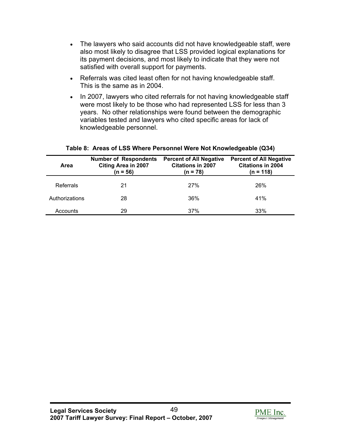- The lawyers who said accounts did not have knowledgeable staff, were also most likely to disagree that LSS provided logical explanations for its payment decisions, and most likely to indicate that they were not satisfied with overall support for payments.
- Referrals was cited least often for not having knowledgeable staff. This is the same as in 2004.
- In 2007, lawyers who cited referrals for not having knowledgeable staff were most likely to be those who had represented LSS for less than 3 years. No other relationships were found between the demographic variables tested and lawyers who cited specific areas for lack of knowledgeable personnel.

| Area           | <b>Number of Respondents</b><br><b>Citing Area in 2007</b><br>$(n = 56)$ | <b>Percent of All Negative</b><br><b>Citations in 2007</b><br>(n = 78) | <b>Percent of All Negative</b><br><b>Citations in 2004</b><br>(n = 118) |
|----------------|--------------------------------------------------------------------------|------------------------------------------------------------------------|-------------------------------------------------------------------------|
| Referrals      | 21                                                                       | 27%                                                                    | 26%                                                                     |
| Authorizations | 28                                                                       | 36%                                                                    | 41%                                                                     |
| Accounts       | 29                                                                       | 37%                                                                    | 33%                                                                     |

#### **Table 8: Areas of LSS Where Personnel Were Not Knowledgeable (Q34)**

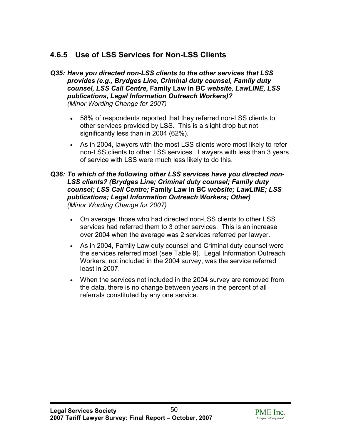# **4.6.5 Use of LSS Services for Non-LSS Clients**

- *Q35: Have you directed non-LSS clients to the other services that LSS provides (e.g., Brydges Line, Criminal duty counsel, Family duty counsel, LSS Call Centre,* **Family Law in BC** *website, LawLINE, LSS publications, Legal Information Outreach Workers)? (Minor Wording Change for 2007)*
	- 58% of respondents reported that they referred non-LSS clients to other services provided by LSS. This is a slight drop but not significantly less than in 2004 (62%).
	- As in 2004, lawyers with the most LSS clients were most likely to refer non-LSS clients to other LSS services. Lawyers with less than 3 years of service with LSS were much less likely to do this.

#### *Q36: To which of the following other LSS services have you directed non-LSS clients? (Brydges Line; Criminal duty counsel; Family duty counsel; LSS Call Centre;* **Family Law in BC** *website; LawLINE; LSS publications; Legal Information Outreach Workers; Other) (Minor Wording Change for 2007)*

- On average, those who had directed non-LSS clients to other LSS services had referred them to 3 other services. This is an increase over 2004 when the average was 2 services referred per lawyer.
- As in 2004, Family Law duty counsel and Criminal duty counsel were the services referred most (see Table 9). Legal Information Outreach Workers, not included in the 2004 survey, was the service referred least in 2007.
- When the services not included in the 2004 survey are removed from the data, there is no change between years in the percent of all referrals constituted by any one service.

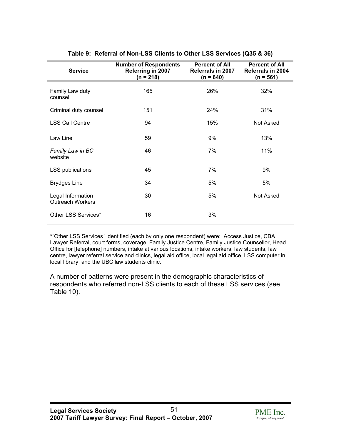| <b>Service</b>                               | <b>Number of Respondents</b><br>Referring in 2007<br>$(n = 218)$ | <b>Percent of All</b><br><b>Referrals in 2007</b><br>$(n = 640)$ | <b>Percent of All</b><br><b>Referrals in 2004</b><br>$(n = 561)$ |
|----------------------------------------------|------------------------------------------------------------------|------------------------------------------------------------------|------------------------------------------------------------------|
| Family Law duty<br>counsel                   | 165                                                              | 26%                                                              | 32%                                                              |
| Criminal duty counsel                        | 151                                                              | 24%                                                              | 31%                                                              |
| <b>LSS Call Centre</b>                       | 94                                                               | 15%                                                              | Not Asked                                                        |
| Law Line                                     | 59                                                               | 9%                                                               | 13%                                                              |
| Family Law in BC<br>website                  | 46                                                               | 7%                                                               | 11%                                                              |
| <b>LSS publications</b>                      | 45                                                               | 7%                                                               | 9%                                                               |
| <b>Brydges Line</b>                          | 34                                                               | 5%                                                               | 5%                                                               |
| Legal Information<br><b>Outreach Workers</b> | 30                                                               | 5%                                                               | Not Asked                                                        |
| Other LSS Services*                          | 16                                                               | 3%                                                               |                                                                  |

#### **Table 9: Referral of Non-LSS Clients to Other LSS Services (Q35 & 36)**

\*`Other LSS Services´ identified (each by only one respondent) were: Access Justice, CBA Lawyer Referral, court forms, coverage, Family Justice Centre, Family Justice Counsellor, Head Office for [telephone] numbers, intake at various locations, intake workers, law students, law centre, lawyer referral service and clinics, legal aid office, local legal aid office, LSS computer in local library, and the UBC law students clinic.

A number of patterns were present in the demographic characteristics of respondents who referred non-LSS clients to each of these LSS services (see Table 10).

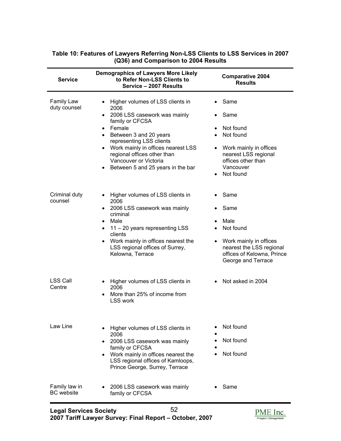| <b>Service</b>                     | <b>Demographics of Lawyers More Likely</b><br>to Refer Non-LSS Clients to<br>Service - 2007 Results                                                                                                                                                                                                        | <b>Comparative 2004</b><br><b>Results</b>                                                                                                    |
|------------------------------------|------------------------------------------------------------------------------------------------------------------------------------------------------------------------------------------------------------------------------------------------------------------------------------------------------------|----------------------------------------------------------------------------------------------------------------------------------------------|
| Family Law<br>duty counsel         | • Higher volumes of LSS clients in<br>2006<br>• 2006 LSS casework was mainly<br>family or CFCSA<br>• Female<br>• Between 3 and 20 years<br>representing LSS clients<br>• Work mainly in offices nearest LSS<br>regional offices other than<br>Vancouver or Victoria<br>• Between 5 and 25 years in the bar | Same<br>Same<br>Not found<br>Not found<br>• Work mainly in offices<br>nearest LSS regional<br>offices other than<br>Vancouver<br>• Not found |
| Criminal duty<br>counsel           | • Higher volumes of LSS clients in<br>2006<br>• 2006 LSS casework was mainly<br>criminal<br>Male<br>$\bullet$<br>$\bullet$ 11 – 20 years representing LSS<br>clients<br>• Work mainly in offices nearest the<br>LSS regional offices of Surrey,<br>Kelowna, Terrace                                        | Same<br>Same<br>Male<br>Not found<br>Work mainly in offices<br>nearest the LSS regional<br>offices of Kelowna, Prince<br>George and Terrace  |
| <b>LSS Call</b><br>Centre          | • Higher volumes of LSS clients in<br>2006<br>• More than 25% of income from<br><b>LSS work</b>                                                                                                                                                                                                            | • Not asked in 2004                                                                                                                          |
| Law Line                           | Higher volumes of LSS clients in<br>2006<br>2006 LSS casework was mainly<br>$\bullet$<br>family or CFCSA<br>• Work mainly in offices nearest the<br>LSS regional offices of Kamloops,<br>Prince George, Surrey, Terrace                                                                                    | Not found<br>Not found<br>Not found                                                                                                          |
| Family law in<br><b>BC</b> website | 2006 LSS casework was mainly<br>$\bullet$<br>family or CFCSA                                                                                                                                                                                                                                               | Same                                                                                                                                         |

#### **Table 10: Features of Lawyers Referring Non-LSS Clients to LSS Services in 2007 (Q36) and Comparison to 2004 Results**

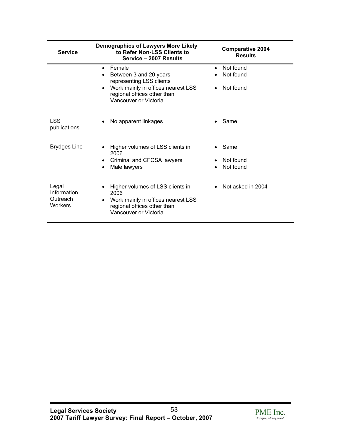| <b>Service</b>                                     | <b>Demographics of Lawyers More Likely</b><br>to Refer Non-LSS Clients to<br>Service - 2007 Results                                                                       | <b>Comparative 2004</b><br><b>Results</b>        |
|----------------------------------------------------|---------------------------------------------------------------------------------------------------------------------------------------------------------------------------|--------------------------------------------------|
|                                                    | Female<br>$\bullet$<br>Between 3 and 20 years<br>representing LSS clients<br>• Work mainly in offices nearest LSS<br>regional offices other than<br>Vancouver or Victoria | Not found<br>$\bullet$<br>Not found<br>Not found |
| <b>LSS</b><br>publications                         | No apparent linkages                                                                                                                                                      | Same                                             |
| <b>Brydges Line</b>                                | • Higher volumes of LSS clients in<br>2006<br>• Criminal and CFCSA lawyers<br>Male lawyers                                                                                | Same<br>Not found<br>Not found                   |
| Legal<br>Information<br>Outreach<br><b>Workers</b> | Higher volumes of LSS clients in<br>2006<br>Work mainly in offices nearest LSS<br>regional offices other than<br>Vancouver or Victoria                                    | • Not asked in $2004$                            |

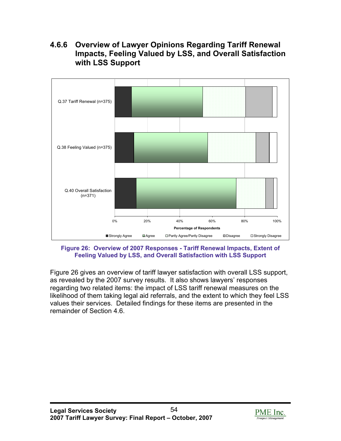### **4.6.6 Overview of Lawyer Opinions Regarding Tariff Renewal Impacts, Feeling Valued by LSS, and Overall Satisfaction with LSS Support**



**Figure 26: Overview of 2007 Responses - Tariff Renewal Impacts, Extent of Feeling Valued by LSS, and Overall Satisfaction with LSS Support** 

Figure 26 gives an overview of tariff lawyer satisfaction with overall LSS support, as revealed by the 2007 survey results. It also shows lawyers' responses regarding two related items: the impact of LSS tariff renewal measures on the likelihood of them taking legal aid referrals, and the extent to which they feel LSS values their services. Detailed findings for these items are presented in the remainder of Section 4.6.

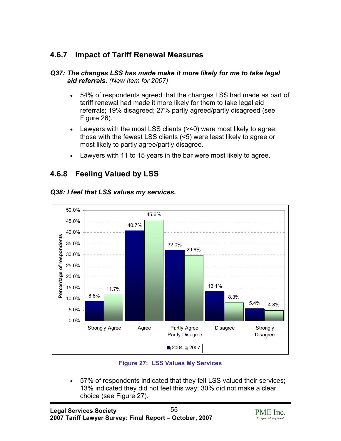# **4.6.7 Impact of Tariff Renewal Measures**

#### *Q37: The changes LSS has made make it more likely for me to take legal aid referrals. (New Item for 2007)*

- 54% of respondents agreed that the changes LSS had made as part of tariff renewal had made it more likely for them to take legal aid referrals; 19% disagreed; 27% partly agreed/partly disagreed (see Figure 26).
- Lawyers with the most LSS clients (>40) were most likely to agree; those with the fewest LSS clients (<5) were least likely to agree or most likely to partly agree/partly disagree.
- Lawyers with 11 to 15 years in the bar were most likely to agree.

# **4.6.8 Feeling Valued by LSS**

#### 50.0% 45.6% 45.0% 40.7% 40.0% Percentage of respondents **Percentage of respondents** 35.0% 32.0% 29.6% 30.0% 25.0% 20.0% 13.1% 15.0% 11.7% 8.8% 8.3% 10.0% 5.4% 4.8% 5.0% 0.0% Strongly Agree Agree Partly Agree, Disagree Strongly Partly Disagree Disagree ■ 2004 2007

#### *Q38: I feel that LSS values my services.*

#### **Figure 27: LSS Values My Services**

• 57% of respondents indicated that they felt LSS valued their services; 13% indicated they did not feel this way; 30% did not make a clear choice (see Figure 27).

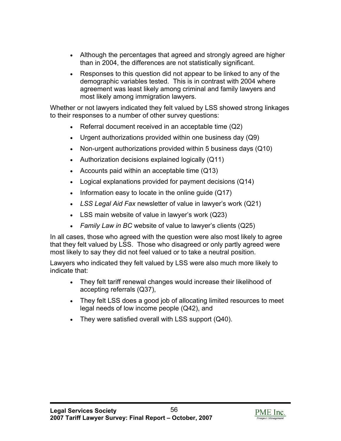- Although the percentages that agreed and strongly agreed are higher than in 2004, the differences are not statistically significant.
- Responses to this question did not appear to be linked to any of the demographic variables tested. This is in contrast with 2004 where agreement was least likely among criminal and family lawyers and most likely among immigration lawyers.

Whether or not lawyers indicated they felt valued by LSS showed strong linkages to their responses to a number of other survey questions:

- Referral document received in an acceptable time (Q2)
- Urgent authorizations provided within one business day (Q9)
- Non-urgent authorizations provided within 5 business days (Q10)
- Authorization decisions explained logically (Q11)
- Accounts paid within an acceptable time (Q13)
- Logical explanations provided for payment decisions (Q14)
- Information easy to locate in the online guide (Q17)
- *LSS Legal Aid Fax* newsletter of value in lawyer's work (Q21)
- LSS main website of value in lawyer's work (Q23)
- *Family Law in BC* website of value to lawyer's clients (Q25)

In all cases, those who agreed with the question were also most likely to agree that they felt valued by LSS. Those who disagreed or only partly agreed were most likely to say they did not feel valued or to take a neutral position.

Lawyers who indicated they felt valued by LSS were also much more likely to indicate that:

- They felt tariff renewal changes would increase their likelihood of accepting referrals (Q37),
- They felt LSS does a good job of allocating limited resources to meet legal needs of low income people (Q42), and
- They were satisfied overall with LSS support (Q40).

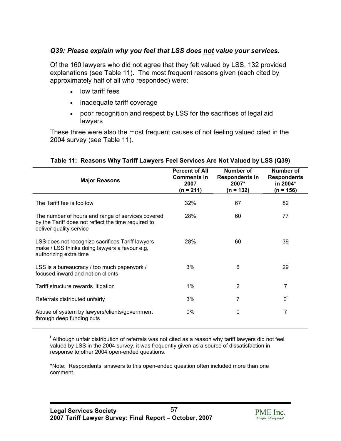#### *Q39: Please explain why you feel that LSS does not value your services.*

Of the 160 lawyers who did not agree that they felt valued by LSS, 132 provided explanations (see Table 11). The most frequent reasons given (each cited by approximately half of all who responded) were:

- low tariff fees
- inadequate tariff coverage
- poor recognition and respect by LSS for the sacrifices of legal aid lawyers

These three were also the most frequent causes of not feeling valued cited in the 2004 survey (see Table 11).

| <b>Major Reasons</b>                                                                                                                | <b>Percent of All</b><br><b>Comments in</b><br>2007<br>$(n = 211)$ | <b>Number of</b><br><b>Respondents in</b><br>2007*<br>(n = 132) | Number of<br><b>Respondents</b><br>in 2004*<br>(n = 156) |
|-------------------------------------------------------------------------------------------------------------------------------------|--------------------------------------------------------------------|-----------------------------------------------------------------|----------------------------------------------------------|
| The Tariff fee is too low                                                                                                           | 32%                                                                | 67                                                              | 82                                                       |
| The number of hours and range of services covered<br>by the Tariff does not reflect the time required to<br>deliver quality service | 28%                                                                | 60                                                              | 77                                                       |
| LSS does not recognize sacrifices Tariff lawyers<br>make / LSS thinks doing lawyers a favour e.g.<br>authorizing extra time         | 28%                                                                | 60                                                              | 39                                                       |
| LSS is a bureaucracy / too much paperwork /<br>focused inward and not on clients                                                    | 3%                                                                 | 6                                                               | 29                                                       |
| Tariff structure rewards litigation                                                                                                 | $1\%$                                                              | 2                                                               | 7                                                        |
| Referrals distributed unfairly                                                                                                      | 3%                                                                 | 7                                                               | $0^{\rm t}$                                              |
| Abuse of system by lawyers/clients/government<br>through deep funding cuts                                                          | 0%                                                                 | 0                                                               | 7                                                        |

#### **Table 11: Reasons Why Tariff Lawyers Feel Services Are Not Valued by LSS (Q39)**

<sup>t</sup> Although unfair distribution of referrals was not cited as a reason why tariff lawyers did not feel valued by LSS in the 2004 survey, it was frequently given as a source of dissatisfaction in response to other 2004 open-ended questions.

\*Note: Respondents' answers to this open-ended question often included more than one comment.

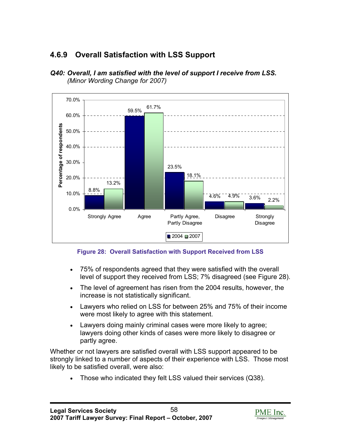# **4.6.9 Overall Satisfaction with LSS Support**





**Figure 28: Overall Satisfaction with Support Received from LSS** 

- 75% of respondents agreed that they were satisfied with the overall level of support they received from LSS; 7% disagreed (see Figure 28).
- The level of agreement has risen from the 2004 results, however, the increase is not statistically significant.
- Lawyers who relied on LSS for between 25% and 75% of their income were most likely to agree with this statement.
- Lawyers doing mainly criminal cases were more likely to agree; lawyers doing other kinds of cases were more likely to disagree or partly agree.

Whether or not lawyers are satisfied overall with LSS support appeared to be strongly linked to a number of aspects of their experience with LSS. Those most likely to be satisfied overall, were also:

• Those who indicated they felt LSS valued their services (Q38).

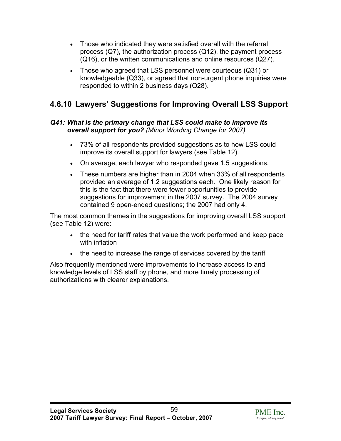- Those who indicated they were satisfied overall with the referral process (Q7), the authorization process (Q12), the payment process (Q16), or the written communications and online resources (Q27).
- Those who agreed that LSS personnel were courteous (Q31) or knowledgeable (Q33), or agreed that non-urgent phone inquiries were responded to within 2 business days (Q28).

# **4.6.10 Lawyers' Suggestions for Improving Overall LSS Support**

#### *Q41: What is the primary change that LSS could make to improve its overall support for you? (Minor Wording Change for 2007)*

- 73% of all respondents provided suggestions as to how LSS could improve its overall support for lawyers (see Table 12).
- On average, each lawyer who responded gave 1.5 suggestions.
- These numbers are higher than in 2004 when 33% of all respondents provided an average of 1.2 suggestions each. One likely reason for this is the fact that there were fewer opportunities to provide suggestions for improvement in the 2007 survey. The 2004 survey contained 9 open-ended questions; the 2007 had only 4.

The most common themes in the suggestions for improving overall LSS support (see Table 12) were:

- the need for tariff rates that value the work performed and keep pace with inflation
- the need to increase the range of services covered by the tariff

Also frequently mentioned were improvements to increase access to and knowledge levels of LSS staff by phone, and more timely processing of authorizations with clearer explanations.

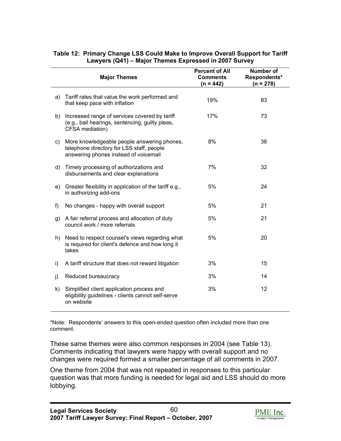|    | <b>Major Themes</b>                                                                                                               | <b>Percent of All</b><br><b>Comments</b><br>$(n = 442)$ | <b>Number of</b><br>Respondents*<br>$(n = 278)$ |
|----|-----------------------------------------------------------------------------------------------------------------------------------|---------------------------------------------------------|-------------------------------------------------|
| a) | Tariff rates that value the work performed and<br>that keep pace with inflation                                                   | 19%                                                     | 83                                              |
| b) | Increased range of services covered by tariff<br>(e.g., bail hearings, sentencing, guilty pleas,<br>CFSA mediation)               | 17%                                                     | 73                                              |
| C) | More knowledgeable people answering phones,<br>telephone directory for LSS staff, people<br>answering phones instead of voicemail | 8%                                                      | 36                                              |
| d) | Timely processing of authorizations and<br>disbursements and clear explanations                                                   | 7%                                                      | 32                                              |
| e) | Greater flexibility in application of the tariff e.g.,<br>in authorizing add-ons                                                  | 5%                                                      | 24                                              |
| f) | No changes - happy with overall support                                                                                           | 5%                                                      | 21                                              |
| g) | A fair referral process and allocation of duty<br>council work / more referrals                                                   | 5%                                                      | 21                                              |
| h) | Need to respect counsel's views regarding what<br>is required for client's defence and how long it<br>takes                       | 5%                                                      | 20                                              |
| i) | A tariff structure that does not reward litigation                                                                                | 3%                                                      | 15                                              |
| j) | Reduced bureaucracy                                                                                                               | 3%                                                      | 14                                              |
| k) | Simplified client application process and<br>eligibility guidelines - clients cannot self-serve<br>on website                     | 3%                                                      | 12                                              |

#### **Table 12: Primary Change LSS Could Make to Improve Overall Support for Tariff Lawyers (Q41) – Major Themes Expressed in 2007 Survey**

\*Note: Respondents' answers to this open-ended question often included more than one comment.

These same themes were also common responses in 2004 (see Table 13). Comments indicating that lawyers were happy with overall support and no changes were required formed a smaller percentage of all comments in 2007.

One theme from 2004 that was not repeated in responses to this particular question was that more funding is needed for legal aid and LSS should do more lobbying.

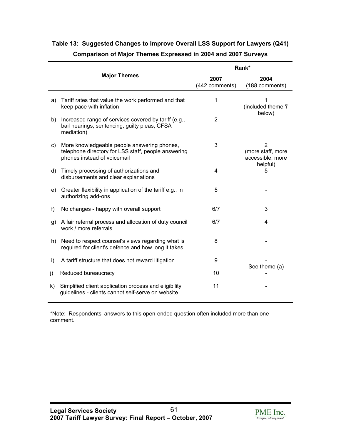|    |                                                                                                                                   | Rank*                  |                                                         |  |
|----|-----------------------------------------------------------------------------------------------------------------------------------|------------------------|---------------------------------------------------------|--|
|    | <b>Major Themes</b>                                                                                                               | 2007<br>(442 comments) | 2004<br>(188 comments)                                  |  |
| a) | Tariff rates that value the work performed and that<br>keep pace with inflation                                                   | 1                      | 1<br>(included theme 'i'<br>below)                      |  |
| b) | Increased range of services covered by tariff (e.g.,<br>bail hearings, sentencing, guilty pleas, CFSA<br>mediation)               | 2                      |                                                         |  |
| C) | More knowledgeable people answering phones,<br>telephone directory for LSS staff, people answering<br>phones instead of voicemail | 3                      | $\overline{2}$<br>(more staff, more<br>accessible, more |  |
| d) | Timely processing of authorizations and<br>disbursements and clear explanations                                                   | 4                      | helpful)<br>5                                           |  |
| e) | Greater flexibility in application of the tariff e.g., in<br>authorizing add-ons                                                  | 5                      |                                                         |  |
| f) | No changes - happy with overall support                                                                                           | 6/7                    | 3                                                       |  |
| g) | A fair referral process and allocation of duty council<br>work / more referrals                                                   | 6/7                    | 4                                                       |  |
| h) | Need to respect counsel's views regarding what is<br>required for client's defence and how long it takes                          | 8                      |                                                         |  |
| i) | A tariff structure that does not reward litigation                                                                                | 9                      |                                                         |  |
| j) | Reduced bureaucracy                                                                                                               | 10                     | See theme (a)                                           |  |
| k) | Simplified client application process and eligibility<br>guidelines - clients cannot self-serve on website                        | 11                     |                                                         |  |

### **Table 13: Suggested Changes to Improve Overall LSS Support for Lawyers (Q41) Comparison of Major Themes Expressed in 2004 and 2007 Surveys**

\*Note: Respondents' answers to this open-ended question often included more than one comment.

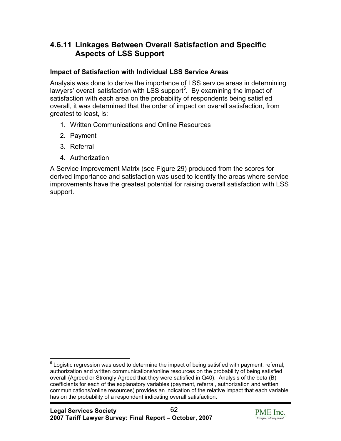### **4.6.11 Linkages Between Overall Satisfaction and Specific Aspects of LSS Support**

### **Impact of Satisfaction with Individual LSS Service Areas**

Analysis was done to derive the importance of LSS service areas in determining lawyers' overall satisfaction with LSS support<sup>5</sup>. By examining the impact of satisfaction with each area on the probability of respondents being satisfied overall, it was determined that the order of impact on overall satisfaction, from greatest to least, is:

- 1. Written Communications and Online Resources
- 2. Payment
- 3. Referral

1

4. Authorization

A Service Improvement Matrix (see Figure 29) produced from the scores for derived importance and satisfaction was used to identify the areas where service improvements have the greatest potential for raising overall satisfaction with LSS support.



<sup>&</sup>lt;sup>5</sup> Logistic regression was used to determine the impact of being satisfied with payment, referral, authorization and written communications/online resources on the probability of being satisfied overall (Agreed or Strongly Agreed that they were satisfied in Q40). Analysis of the beta (B) coefficients for each of the explanatory variables (payment, referral, authorization and written communications/online resources) provides an indication of the relative impact that each variable has on the probability of a respondent indicating overall satisfaction.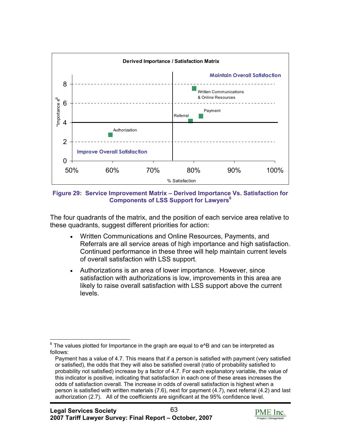

**Figure 29: Service Improvement Matrix – Derived Importance Vs. Satisfaction for Components of LSS Support for Lawyers<sup>6</sup>**

The four quadrants of the matrix, and the position of each service area relative to these quadrants, suggest different priorities for action:

- Written Communications and Online Resources, Payments, and Referrals are all service areas of high importance and high satisfaction. Continued performance in these three will help maintain current levels of overall satisfaction with LSS support.
- Authorizations is an area of lower importance. However, since satisfaction with authorizations is low, improvements in this area are likely to raise overall satisfaction with LSS support above the current levels.



<sup>6</sup> The values plotted for Importance in the graph are equal to e^B and can be interpreted as follows:

Payment has a value of 4.7. This means that if a person is satisfied with payment (very satisfied or satisfied), the odds that they will also be satisfied overall (ratio of probability satisfied to probability not satisfied) increase by a factor of 4.7. For each explanatory variable, the value of this indicator is positive, indicating that satisfaction in each one of these areas increases the odds of satisfaction overall. The increase in odds of overall satisfaction is highest when a person is satisfied with written materials (7.6), next for payment (4.7), next referral (4.2) and last authorization (2.7). All of the coefficients are significant at the 95% confidence level.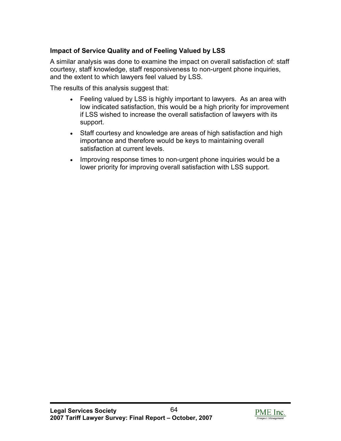### **Impact of Service Quality and of Feeling Valued by LSS**

A similar analysis was done to examine the impact on overall satisfaction of: staff courtesy, staff knowledge, staff responsiveness to non-urgent phone inquiries, and the extent to which lawyers feel valued by LSS.

The results of this analysis suggest that:

- Feeling valued by LSS is highly important to lawyers. As an area with low indicated satisfaction, this would be a high priority for improvement if LSS wished to increase the overall satisfaction of lawyers with its support.
- Staff courtesy and knowledge are areas of high satisfaction and high importance and therefore would be keys to maintaining overall satisfaction at current levels.
- Improving response times to non-urgent phone inquiries would be a lower priority for improving overall satisfaction with LSS support.

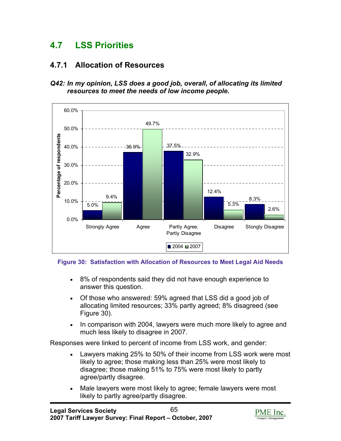# **4.7 LSS Priorities**

### **4.7.1 Allocation of Resources**





#### **Figure 30: Satisfaction with Allocation of Resources to Meet Legal Aid Needs**

- 8% of respondents said they did not have enough experience to answer this question.
- Of those who answered: 59% agreed that LSS did a good job of allocating limited resources; 33% partly agreed; 8% disagreed (see Figure 30).
- In comparison with 2004, lawyers were much more likely to agree and much less likely to disagree in 2007.

Responses were linked to percent of income from LSS work, and gender:

- Lawyers making 25% to 50% of their income from LSS work were most likely to agree; those making less than 25% were most likely to disagree; those making 51% to 75% were most likely to partly agree/partly disagree.
- Male lawyers were most likely to agree; female lawyers were most likely to partly agree/partly disagree.

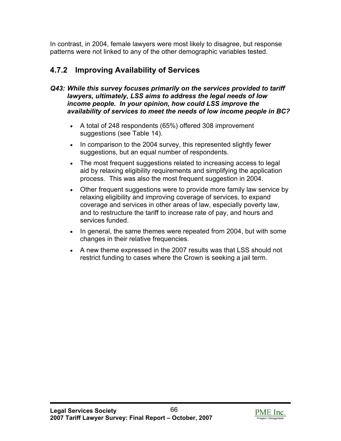In contrast, in 2004, female lawyers were most likely to disagree, but response patterns were not linked to any of the other demographic variables tested.

# **4.7.2 Improving Availability of Services**

#### *Q43: While this survey focuses primarily on the services provided to tariff lawyers, ultimately, LSS aims to address the legal needs of low income people. In your opinion, how could LSS improve the availability of services to meet the needs of low income people in BC?*

- A total of 248 respondents (65%) offered 308 improvement suggestions (see Table 14).
- In comparison to the 2004 survey, this represented slightly fewer suggestions, but an equal number of respondents.
- The most frequent suggestions related to increasing access to legal aid by relaxing eligibility requirements and simplifying the application process. This was also the most frequent suggestion in 2004.
- Other frequent suggestions were to provide more family law service by relaxing eligibility and improving coverage of services, to expand coverage and services in other areas of law, especially poverty law, and to restructure the tariff to increase rate of pay, and hours and services funded.
- In general, the same themes were repeated from 2004, but with some changes in their relative frequencies.
- A new theme expressed in the 2007 results was that LSS should not restrict funding to cases where the Crown is seeking a jail term.

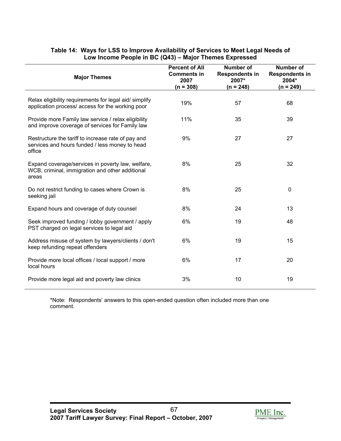| <b>Major Themes</b>                                                                                            | <b>Percent of All</b><br><b>Comments in</b><br>2007<br>$(n = 308)$ | <b>Number of</b><br><b>Respondents in</b><br>2007*<br>$(n = 248)$ | <b>Number of</b><br><b>Respondents in</b><br>2004*<br>$(n = 249)$ |
|----------------------------------------------------------------------------------------------------------------|--------------------------------------------------------------------|-------------------------------------------------------------------|-------------------------------------------------------------------|
| Relax eligibility requirements for legal aid/simplify<br>application process/ access for the working poor      | 19%                                                                | 57                                                                | 68                                                                |
| Provide more Family law service / relax eligibility<br>and improve coverage of services for Family law         | 11%                                                                | 35                                                                | 39                                                                |
| Restructure the tariff to increase rate of pay and<br>services and hours funded / less money to head<br>office | 9%                                                                 | 27                                                                | 27                                                                |
| Expand coverage/services in poverty law, welfare,<br>WCB, criminal, immigration and other additional<br>areas  | 8%                                                                 | 25                                                                | 32                                                                |
| Do not restrict funding to cases where Crown is<br>seeking jail                                                | 8%                                                                 | 25                                                                | 0                                                                 |
| Expand hours and coverage of duty counsel                                                                      | 8%                                                                 | 24                                                                | 13                                                                |
| Seek improved funding / lobby government / apply<br>PST charged on legal services to legal aid                 | 6%                                                                 | 19                                                                | 48                                                                |
| Address misuse of system by lawyers/clients / don't<br>keep refunding repeat offenders                         | 6%                                                                 | 19                                                                | 15                                                                |
| Provide more local offices / local support / more<br>local hours                                               | 6%                                                                 | 17                                                                | 20                                                                |
| Provide more legal aid and poverty law clinics                                                                 | 3%                                                                 | 10                                                                | 19                                                                |

#### **Table 14: Ways for LSS to Improve Availability of Services to Meet Legal Needs of Low Income People in BC (Q43) – Major Themes Expressed**

\*Note: Respondents' answers to this open-ended question often included more than one comment.

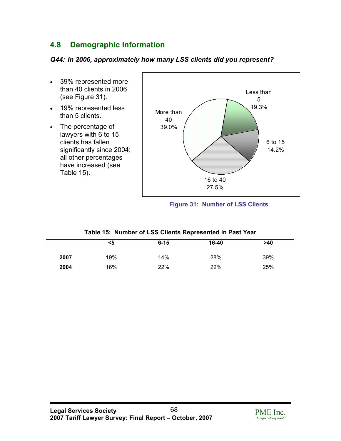# **4.8 Demographic Information**

### *Q44: In 2006, approximately how many LSS clients did you represent?*

- 39% represented more than 40 clients in 2006 (see Figure 31).
- 19% represented less than 5 clients.
- The percentage of lawyers with 6 to 15 clients has fallen significantly since 2004; all other percentages have increased (see Table 15).



#### **Figure 31: Number of LSS Clients**

#### **Table 15: Number of LSS Clients Represented in Past Year**

|      | <5  | $6 - 15$ | 16-40 | >40 |  |
|------|-----|----------|-------|-----|--|
|      |     |          |       |     |  |
| 2007 | 19% | 14%      | 28%   | 39% |  |
| 2004 | 16% | 22%      | 22%   | 25% |  |

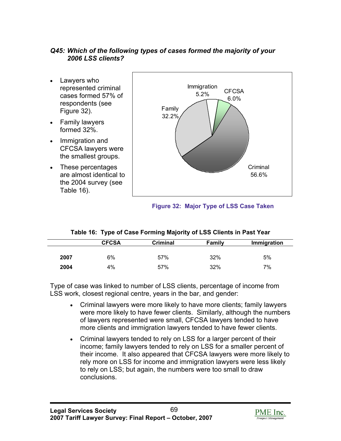#### *Q45: Which of the following types of cases formed the majority of your 2006 LSS clients?*

- Lawyers who represented criminal cases formed 57% of respondents (see Figure 32).
- Family lawyers formed 32%.
- Immigration and CFCSA lawyers were the smallest groups.
- These percentages are almost identical to the 2004 survey (see Table 16).



#### **Figure 32: Major Type of LSS Case Taken**

#### **Table 16: Type of Case Forming Majority of LSS Clients in Past Year**

|      | <b>CFCSA</b> | <b>Criminal</b> | <b>Family</b> | Immigration |
|------|--------------|-----------------|---------------|-------------|
|      |              |                 |               |             |
| 2007 | 6%           | 57%             | 32%           | 5%          |
| 2004 | 4%           | 57%             | 32%           | 7%          |

Type of case was linked to number of LSS clients, percentage of income from LSS work, closest regional centre, years in the bar, and gender:

- Criminal lawyers were more likely to have more clients; family lawyers were more likely to have fewer clients. Similarly, although the numbers of lawyers represented were small, CFCSA lawyers tended to have more clients and immigration lawyers tended to have fewer clients.
- Criminal lawyers tended to rely on LSS for a larger percent of their income; family lawyers tended to rely on LSS for a smaller percent of their income. It also appeared that CFCSA lawyers were more likely to rely more on LSS for income and immigration lawyers were less likely to rely on LSS; but again, the numbers were too small to draw conclusions.

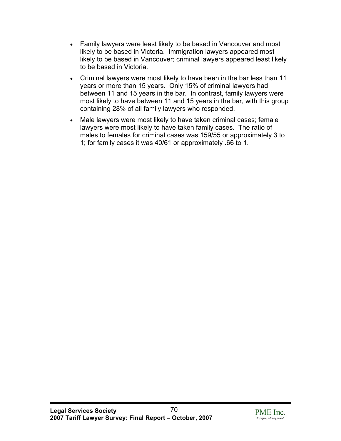- Family lawyers were least likely to be based in Vancouver and most likely to be based in Victoria. Immigration lawyers appeared most likely to be based in Vancouver; criminal lawyers appeared least likely to be based in Victoria.
- Criminal lawyers were most likely to have been in the bar less than 11 years or more than 15 years. Only 15% of criminal lawyers had between 11 and 15 years in the bar. In contrast, family lawyers were most likely to have between 11 and 15 years in the bar, with this group containing 28% of all family lawyers who responded.
- Male lawyers were most likely to have taken criminal cases; female lawyers were most likely to have taken family cases. The ratio of males to females for criminal cases was 159/55 or approximately 3 to 1; for family cases it was 40/61 or approximately .66 to 1.

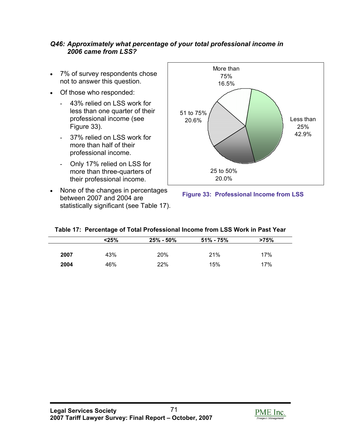#### *Q46: Approximately what percentage of your total professional income in 2006 came from LSS?*

- 7% of survey respondents chose not to answer this question.
- Of those who responded:
	- 43% relied on LSS work for less than one quarter of their professional income (see Figure 33).
	- 37% relied on LSS work for more than half of their professional income.
	- Only 17% relied on LSS for more than three-quarters of their professional income.
- None of the changes in percentages between 2007 and 2004 are statistically significant (see Table 17).





|      | < 25% | $25\% - 50\%$ | $51\% - 75\%$ | >75% |
|------|-------|---------------|---------------|------|
| 2007 | 43%   | 20%           | 21%           | 17%  |
| 2004 | 46%   | 22%           | 15%           | 17%  |

|  |  |  |  | Table 17: Percentage of Total Professional Income from LSS Work in Past Year |
|--|--|--|--|------------------------------------------------------------------------------|
|--|--|--|--|------------------------------------------------------------------------------|

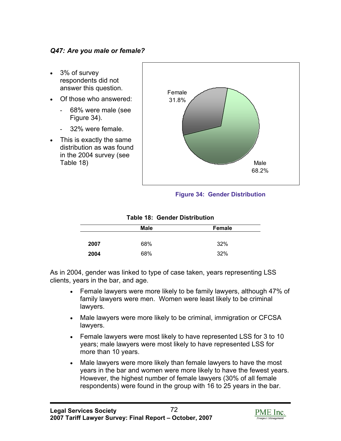#### *Q47: Are you male or female?*

- 3% of survey respondents did not answer this question.
- Of those who answered:
	- 68% were male (see Figure 34).
	- 32% were female.
- This is exactly the same distribution as was found in the 2004 survey (see Table 18)



#### **Figure 34: Gender Distribution**

|      | <b>Male</b> | <b>Female</b> |
|------|-------------|---------------|
|      |             |               |
| 2007 | 68%         | 32%           |
| 2004 | 68%         | 32%           |

#### **Table 18: Gender Distribution**

As in 2004, gender was linked to type of case taken, years representing LSS clients, years in the bar, and age.

- Female lawyers were more likely to be family lawyers, although 47% of family lawyers were men. Women were least likely to be criminal lawyers.
- Male lawyers were more likely to be criminal, immigration or CFCSA lawyers.
- Female lawyers were most likely to have represented LSS for 3 to 10 years; male lawyers were most likely to have represented LSS for more than 10 years.
- Male lawyers were more likely than female lawyers to have the most years in the bar and women were more likely to have the fewest years. However, the highest number of female lawyers (30% of all female respondents) were found in the group with 16 to 25 years in the bar.

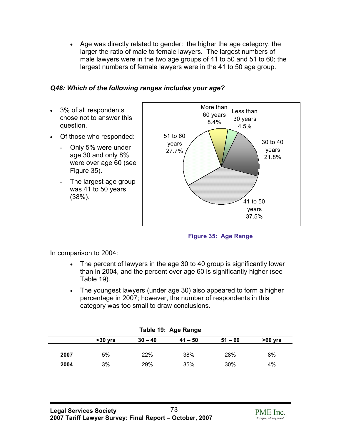• Age was directly related to gender: the higher the age category, the larger the ratio of male to female lawyers. The largest numbers of male lawyers were in the two age groups of 41 to 50 and 51 to 60; the largest numbers of female lawyers were in the 41 to 50 age group.

# *Q48: Which of the following ranges includes your age?*

- 3% of all respondents chose not to answer this question.
- Of those who responded:
	- Only 5% were under age 30 and only 8% were over age 60 (see Figure 35).
	- The largest age group was 41 to 50 years (38%).



**Figure 35: Age Range** 

In comparison to 2004:

- The percent of lawyers in the age 30 to 40 group is significantly lower than in 2004, and the percent over age 60 is significantly higher (see Table 19).
- The youngest lawyers (under age 30) also appeared to form a higher percentage in 2007; however, the number of respondents in this category was too small to draw conclusions.

| Table 19: Age Range |           |           |           |           |  |  |  |
|---------------------|-----------|-----------|-----------|-----------|--|--|--|
| $30 vrs$            | $30 - 40$ | $41 - 50$ | $51 - 60$ | $>60$ yrs |  |  |  |
|                     |           |           |           |           |  |  |  |
| 5%                  | 22%       | 38%       | 28%       | 8%        |  |  |  |
| 3%                  | 29%       | 35%       | 30%       | 4%        |  |  |  |
|                     |           |           |           |           |  |  |  |

# **Table 19: Age Range**

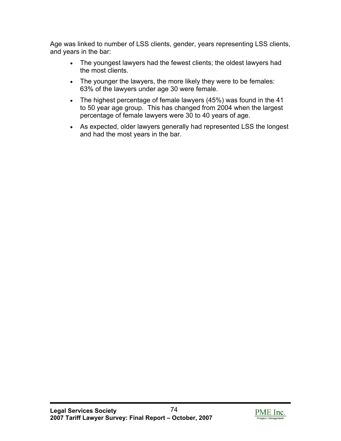Age was linked to number of LSS clients, gender, years representing LSS clients, and years in the bar:

- The youngest lawyers had the fewest clients; the oldest lawyers had the most clients.
- The younger the lawyers, the more likely they were to be females: 63% of the lawyers under age 30 were female.
- The highest percentage of female lawyers (45%) was found in the 41 to 50 year age group. This has changed from 2004 when the largest percentage of female lawyers were 30 to 40 years of age.
- As expected, older lawyers generally had represented LSS the longest and had the most years in the bar.

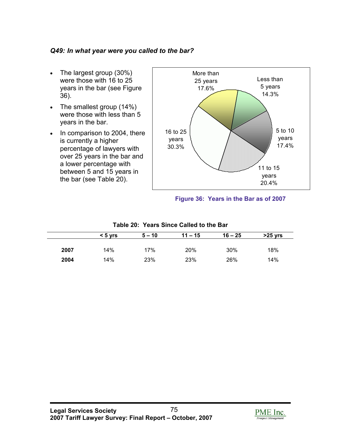# *Q49: In what year were you called to the bar?*

- The largest group (30%) were those with 16 to 25 years in the bar (see Figure 36).
- The smallest group (14%) were those with less than 5 years in the bar.
- In comparison to 2004, there is currently a higher percentage of lawyers with over 25 years in the bar and a lower percentage with between 5 and 15 years in the bar (see Table 20).



**Figure 36: Years in the Bar as of 2007** 

|      | $< 5$ yrs | $5 - 10$ | $11 - 15$ | $16 - 25$ | $>25$ yrs |
|------|-----------|----------|-----------|-----------|-----------|
|      |           |          |           |           |           |
| 2007 | 14%       | 17%      | 20%       | 30%       | 18%       |
| 2004 | 14%       | 23%      | 23%       | 26%       | 14%       |

# **Table 20: Years Since Called to the Bar**

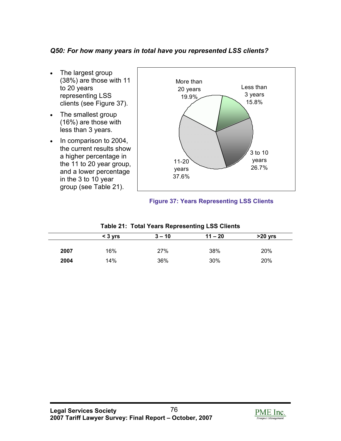# *Q50: For how many years in total have you represented LSS clients?*

- The largest group (38%) are those with 11 to 20 years representing LSS clients (see Figure 37).
- The smallest group (16%) are those with less than 3 years.
- In comparison to 2004, the current results show a higher percentage in the 11 to 20 year group, and a lower percentage in the 3 to 10 year group (see Table 21).



# **Figure 37: Years Representing LSS Clients**

|      | $<$ 3 $vrs$ | $3 - 10$ | $11 - 20$ | $>20$ yrs |  |  |  |
|------|-------------|----------|-----------|-----------|--|--|--|
|      |             |          |           |           |  |  |  |
| 2007 | 16%         | 27%      | 38%       | 20%       |  |  |  |
| 2004 | 14%         | 36%      | 30%       | 20%       |  |  |  |

# **Table 21: Total Years Representing LSS Clients**

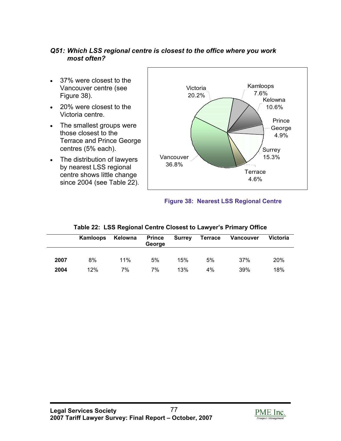# *Q51: Which LSS regional centre is closest to the office where you work most often?*

- 37% were closest to the Vancouver centre (see Figure 38).
- 20% were closest to the Victoria centre.
- The smallest groups were those closest to the Terrace and Prince George centres (5% each).
- The distribution of lawyers by nearest LSS regional centre shows little change since 2004 (see Table 22).



# **Figure 38: Nearest LSS Regional Centre**

|      | Kamloops | Kelowna | <b>Prince</b><br>George | <b>Surrey</b> | <b>Terrace</b> | Vancouver | <b>Victoria</b> |
|------|----------|---------|-------------------------|---------------|----------------|-----------|-----------------|
| 2007 | 8%       | 11%     | 5%                      | 15%           | 5%             | 37%       | 20%             |
| 2004 | 12%      | 7%      | 7%                      | 13%           | 4%             | 39%       | 18%             |

# **Table 22: LSS Regional Centre Closest to Lawyer's Primary Office**

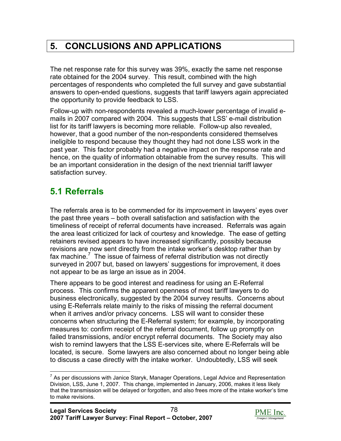# **5. CONCLUSIONS AND APPLICATIONS**

The net response rate for this survey was 39%, exactly the same net response rate obtained for the 2004 survey. This result, combined with the high percentages of respondents who completed the full survey and gave substantial answers to open-ended questions, suggests that tariff lawyers again appreciated the opportunity to provide feedback to LSS.

Follow-up with non-respondents revealed a much-lower percentage of invalid emails in 2007 compared with 2004. This suggests that LSS' e-mail distribution list for its tariff lawyers is becoming more reliable. Follow-up also revealed, however, that a good number of the non-respondents considered themselves ineligible to respond because they thought they had not done LSS work in the past year. This factor probably had a negative impact on the response rate and hence, on the quality of information obtainable from the survey results. This will be an important consideration in the design of the next triennial tariff lawyer satisfaction survey.

# **5.1 Referrals**

The referrals area is to be commended for its improvement in lawyers' eyes over the past three years – both overall satisfaction and satisfaction with the timeliness of receipt of referral documents have increased. Referrals was again the area least criticized for lack of courtesy and knowledge. The ease of getting retainers revised appears to have increased significantly, possibly because revisions are now sent directly from the intake worker's desktop rather than by fax machine.<sup>7</sup> The issue of fairness of referral distribution was not directly surveyed in 2007 but, based on lawyers' suggestions for improvement, it does not appear to be as large an issue as in 2004.

There appears to be good interest and readiness for using an E-Referral process. This confirms the apparent openness of most tariff lawyers to do business electronically, suggested by the 2004 survey results. Concerns about using E-Referrals relate mainly to the risks of missing the referral document when it arrives and/or privacy concerns. LSS will want to consider these concerns when structuring the E-Referral system; for example, by incorporating measures to: confirm receipt of the referral document, follow up promptly on failed transmissions, and/or encrypt referral documents. The Society may also wish to remind lawyers that the LSS E-services site, where E-Referrals will be located, is secure. Some lawyers are also concerned about no longer being able to discuss a case directly with the intake worker. Undoubtedly, LSS will seek



<sup>1</sup>  $7$  As per discussions with Janice Staryk, Manager Operations, Legal Advice and Representation Division, LSS, June 1, 2007. This change, implemented in January, 2006, makes it less likely that the transmission will be delayed or forgotten, and also frees more of the intake worker's time to make revisions.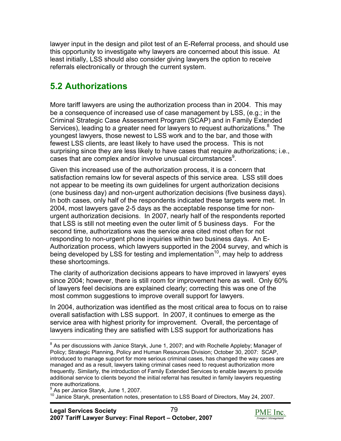lawyer input in the design and pilot test of an E-Referral process, and should use this opportunity to investigate why lawyers are concerned about this issue. At least initially, LSS should also consider giving lawyers the option to receive referrals electronically or through the current system.

# **5.2 Authorizations**

More tariff lawyers are using the authorization process than in 2004. This may be a consequence of increased use of case management by LSS, (e.g.; in the Criminal Strategic Case Assessment Program (SCAP) and in Family Extended Services), leading to a greater need for lawyers to request authorizations. $8$  The youngest lawyers, those newest to LSS work and to the bar, and those with fewest LSS clients, are least likely to have used the process. This is not surprising since they are less likely to have cases that require authorizations; i.e., cases that are complex and/or involve unusual circumstances<sup>9</sup>.

Given this increased use of the authorization process, it is a concern that satisfaction remains low for several aspects of this service area. LSS still does not appear to be meeting its own guidelines for urgent authorization decisions (one business day) and non-urgent authorization decisions (five business days). In both cases, only half of the respondents indicated these targets were met. In 2004, most lawyers gave 2-5 days as the acceptable response time for nonurgent authorization decisions. In 2007, nearly half of the respondents reported that LSS is still not meeting even the outer limit of 5 business days. For the second time, authorizations was the service area cited most often for not responding to non-urgent phone inquiries within two business days. An E-Authorization process, which lawyers supported in the 2004 survey, and which is being developed by LSS for testing and implementation<sup>10</sup>, mav help to address these shortcomings.

The clarity of authorization decisions appears to have improved in lawyers' eyes since 2004; however, there is still room for improvement here as well. Only 60% of lawyers feel decisions are explained clearly; correcting this was one of the most common suggestions to improve overall support for lawyers.

In 2004, authorization was identified as the most critical area to focus on to raise overall satisfaction with LSS support. In 2007, it continues to emerge as the service area with highest priority for improvement. Overall, the percentage of lawyers indicating they are satisfied with LSS support for authorizations has

1



 $^8$  As per discussions with Janice Staryk, June 1, 2007; and with Rochelle Appleby; Manager of Policy; Strategic Planning, Policy and Human Resources Division; October 30, 2007: SCAP, introduced to manage support for more serious criminal cases, has changed the way cases are managed and as a result, lawyers taking criminal cases need to request authorization more frequently. Similarly, the introduction of Family Extended Services to enable lawyers to provide additional service to clients beyond the initial referral has resulted in family lawyers requesting more authorizations.

<sup>9</sup> As per Janice Staryk, June 1, 2007.

<sup>&</sup>lt;sup>10</sup> Janice Staryk, presentation notes, presentation to LSS Board of Directors, May 24, 2007.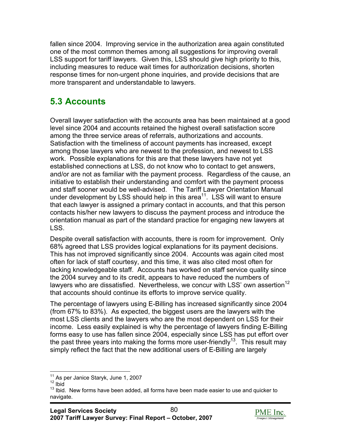fallen since 2004. Improving service in the authorization area again constituted one of the most common themes among all suggestions for improving overall LSS support for tariff lawyers. Given this, LSS should give high priority to this, including measures to reduce wait times for authorization decisions, shorten response times for non-urgent phone inquiries, and provide decisions that are more transparent and understandable to lawyers.

# **5.3 Accounts**

Overall lawyer satisfaction with the accounts area has been maintained at a good level since 2004 and accounts retained the highest overall satisfaction score among the three service areas of referrals, authorizations and accounts. Satisfaction with the timeliness of account payments has increased, except among those lawyers who are newest to the profession, and newest to LSS work. Possible explanations for this are that these lawyers have not yet established connections at LSS, do not know who to contact to get answers, and/or are not as familiar with the payment process. Regardless of the cause, an initiative to establish their understanding and comfort with the payment process and staff sooner would be well-advised. The Tariff Lawyer Orientation Manual under development by LSS should help in this area<sup>11</sup>. LSS will want to ensure that each lawyer is assigned a primary contact in accounts, and that this person contacts his/her new lawyers to discuss the payment process and introduce the orientation manual as part of the standard practice for engaging new lawyers at LSS.

Despite overall satisfaction with accounts, there is room for improvement. Only 68% agreed that LSS provides logical explanations for its payment decisions. This has not improved significantly since 2004. Accounts was again cited most often for lack of staff courtesy, and this time, it was also cited most often for lacking knowledgeable staff. Accounts has worked on staff service quality since the 2004 survey and to its credit, appears to have reduced the numbers of lawyers who are dissatisfied. Nevertheless, we concur with LSS' own assertion<sup>12</sup> that accounts should continue its efforts to improve service quality.

The percentage of lawyers using E-Billing has increased significantly since 2004 (from 67% to 83%). As expected, the biggest users are the lawyers with the most LSS clients and the lawyers who are the most dependent on LSS for their income. Less easily explained is why the percentage of lawyers finding E-Billing forms easy to use has fallen since 2004, especially since LSS has put effort over the past three years into making the forms more user-friendly<sup>13</sup>. This result may simply reflect the fact that the new additional users of E-Billing are largely



<sup>1</sup> <sup>11</sup> As per Janice Staryk, June 1, 2007<br><sup>12</sup> Ibid

 $12$  Ibid.<br> $13$  Ibid. New forms have been added, all forms have been made easier to use and quicker to navigate.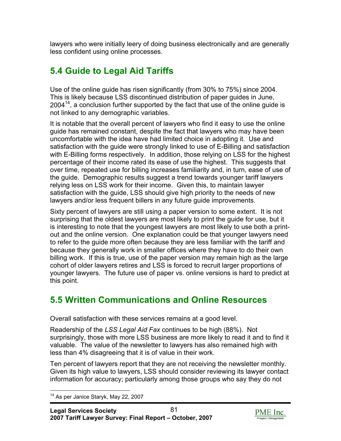lawyers who were initially leery of doing business electronically and are generally less confident using online processes.

# **5.4 Guide to Legal Aid Tariffs**

Use of the online guide has risen significantly (from 30% to 75%) since 2004. This is likely because LSS discontinued distribution of paper guides in June,  $2004<sup>14</sup>$ , a conclusion further supported by the fact that use of the online guide is not linked to any demographic variables.

It is notable that the overall percent of lawyers who find it easy to use the online guide has remained constant, despite the fact that lawyers who may have been uncomfortable with the idea have had limited choice in adopting it. Use and satisfaction with the guide were strongly linked to use of E-Billing and satisfaction with E-Billing forms respectively. In addition, those relying on LSS for the highest percentage of their income rated its ease of use the highest. This suggests that over time, repeated use for billing increases familiarity and, in turn, ease of use of the guide. Demographic results suggest a trend towards younger tariff lawyers relying less on LSS work for their income. Given this, to maintain lawyer satisfaction with the guide, LSS should give high priority to the needs of new lawyers and/or less frequent billers in any future guide improvements.

Sixty percent of lawyers are still using a paper version to some extent. It is not surprising that the oldest lawyers are most likely to print the guide for use, but it is interesting to note that the youngest lawyers are most likely to use both a printout and the online version. One explanation could be that younger lawyers need to refer to the guide more often because they are less familiar with the tariff and because they generally work in smaller offices where they have to do their own billing work. If this is true, use of the paper version may remain high as the large cohort of older lawyers retires and LSS is forced to recruit larger proportions of younger lawyers. The future use of paper vs. online versions is hard to predict at this point.

# **5.5 Written Communications and Online Resources**

Overall satisfaction with these services remains at a good level.

Readership of the *LSS Legal Aid Fax* continues to be high (88%). Not surprisingly, those with more LSS business are more likely to read it and to find it valuable. The value of the newsletter to lawyers has also remained high with less than 4% disagreeing that it is of value in their work.

Ten percent of lawyers report that they are not receiving the newsletter monthly. Given its high value to lawyers, LSS should consider reviewing its lawyer contact information for accuracy; particularly among those groups who say they do not



<sup>1</sup> <sup>14</sup> As per Janice Staryk, May 22, 2007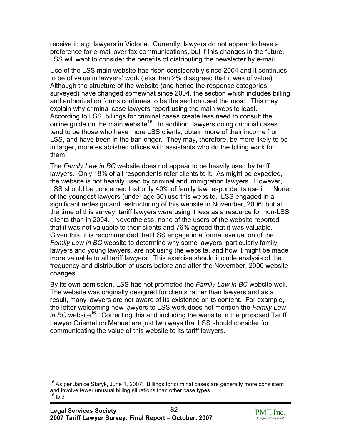receive it; e.g. lawyers in Victoria. Currently, lawyers do not appear to have a preference for e-mail over fax communications, but if this changes in the future, LSS will want to consider the benefits of distributing the newsletter by e-mail.

Use of the LSS main website has risen considerably since 2004 and it continues to be of value in lawyers' work (less than 2% disagreed that it was of value). Although the structure of the website (and hence the response categories surveyed) have changed somewhat since 2004, the section which includes billing and authorization forms continues to be the section used the most. This may explain why criminal case lawyers report using the main website least. According to LSS, billings for criminal cases create less need to consult the online guide on the main website<sup>15</sup>. In addition, lawyers doing criminal cases tend to be those who have more LSS clients, obtain more of their income from LSS, and have been in the bar longer. They may, therefore, be more likely to be in larger, more established offices with assistants who do the billing work for them.

The *Family Law in BC* website does not appear to be heavily used by tariff lawyers. Only 18% of all respondents refer clients to it. As might be expected, the website is not heavily used by criminal and immigration lawyers. However, LSS should be concerned that only 40% of family law respondents use it. None of the youngest lawyers (under age 30) use this website. LSS engaged in a significant redesign and restructuring of this website in November, 2006; but at the time of this survey, tariff lawyers were using it less as a resource for non-LSS clients than in 2004. Nevertheless, none of the users of the website reported that it was not valuable to their clients and 76% agreed that it was valuable. Given this, it is recommended that LSS engage in a formal evaluation of the *Family Law in BC* website to determine why some lawyers, particularly family lawyers and young lawyers, are not using the website, and how it might be made more valuable to all tariff lawyers. This exercise should include analysis of the frequency and distribution of users before and after the November, 2006 website changes.

By its own admission, LSS has not promoted the *Family Law in BC* website well. The website was originally designed for clients rather than lawyers and as a result, many lawyers are not aware of its existence or its content. For example, the letter welcoming new lawyers to LSS work does not mention the *Family Law*  in BC website<sup>16</sup>. Correcting this and including the website in the proposed Tariff Lawyer Orientation Manual are just two ways that LSS should consider for communicating the value of this website to its tariff lawyers.

1



 $15$  As per Janice Staryk, June 1, 2007: Billings for criminal cases are generally more consistent and involve fewer unusual billing situations than other case types.<br> $16$  Ibid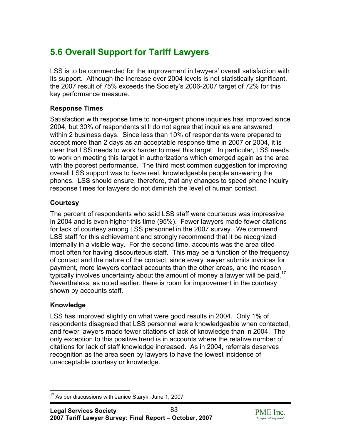# **5.6 Overall Support for Tariff Lawyers**

LSS is to be commended for the improvement in lawyers' overall satisfaction with its support. Although the increase over 2004 levels is not statistically significant, the 2007 result of 75% exceeds the Society's 2006-2007 target of 72% for this key performance measure.

# **Response Times**

Satisfaction with response time to non-urgent phone inquiries has improved since 2004, but 30% of respondents still do not agree that inquiries are answered within 2 business days. Since less than 10% of respondents were prepared to accept more than 2 days as an acceptable response time in 2007 or 2004, it is clear that LSS needs to work harder to meet this target. In particular, LSS needs to work on meeting this target in authorizations which emerged again as the area with the poorest performance. The third most common suggestion for improving overall LSS support was to have real, knowledgeable people answering the phones. LSS should ensure, therefore, that any changes to speed phone inquiry response times for lawyers do not diminish the level of human contact.

# **Courtesy**

The percent of respondents who said LSS staff were courteous was impressive in 2004 and is even higher this time (95%). Fewer lawyers made fewer citations for lack of courtesy among LSS personnel in the 2007 survey. We commend LSS staff for this achievement and strongly recommend that it be recognized internally in a visible way. For the second time, accounts was the area cited most often for having discourteous staff. This may be a function of the frequency of contact and the nature of the contact: since every lawyer submits invoices for payment, more lawyers contact accounts than the other areas, and the reason typically involves uncertainty about the amount of money a lawyer will be paid.<sup>17</sup> Nevertheless, as noted earlier, there is room for improvement in the courtesy shown by accounts staff.

# **Knowledge**

LSS has improved slightly on what were good results in 2004. Only 1% of respondents disagreed that LSS personnel were knowledgeable when contacted, and fewer lawyers made fewer citations of lack of knowledge than in 2004. The only exception to this positive trend is in accounts where the relative number of citations for lack of staff knowledge increased. As in 2004, referrals deserves recognition as the area seen by lawyers to have the lowest incidence of unacceptable courtesy or knowledge.



<sup>1</sup> <sup>17</sup> As per discussions with Janice Staryk, June 1, 2007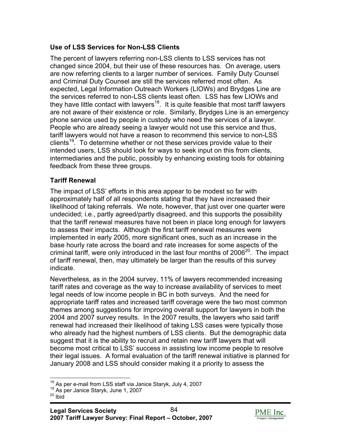# **Use of LSS Services for Non-LSS Clients**

The percent of lawyers referring non-LSS clients to LSS services has not changed since 2004, but their use of these resources has. On average, users are now referring clients to a larger number of services. Family Duty Counsel and Criminal Duty Counsel are still the services referred most often. As expected, Legal Information Outreach Workers (LIOWs) and Brydges Line are the services referred to non-LSS clients least often. LSS has few LIOWs and they have little contact with lawyers<sup>18</sup>. It is quite feasible that most tariff lawyers are not aware of their existence or role. Similarly, Brydges Line is an emergency phone service used by people in custody who need the services of a lawyer. People who are already seeing a lawyer would not use this service and thus, tariff lawyers would not have a reason to recommend this service to non-LSS clients<sup>19</sup>. To determine whether or not these services provide value to their intended users, LSS should look for ways to seek input on this from clients, intermediaries and the public, possibly by enhancing existing tools for obtaining feedback from these three groups.

# **Tariff Renewal**

The impact of LSS' efforts in this area appear to be modest so far with approximately half of all respondents stating that they have increased their likelihood of taking referrals. We note, however, that just over one quarter were undecided; i.e., partly agreed/partly disagreed, and this supports the possibility that the tariff renewal measures have not been in place long enough for lawyers to assess their impacts. Although the first tariff renewal measures were implemented in early 2005, more significant ones, such as an increase in the base hourly rate across the board and rate increases for some aspects of the criminal tariff, were only introduced in the last four months of  $2006^{20}$ . The impact of tariff renewal, then, may ultimately be larger than the results of this survey indicate.

Nevertheless, as in the 2004 survey, 11% of lawyers recommended increasing tariff rates and coverage as the way to increase availability of services to meet legal needs of low income people in BC in both surveys. And the need for appropriate tariff rates and increased tariff coverage were the two most common themes among suggestions for improving overall support for lawyers in both the 2004 and 2007 survey results. In the 2007 results, the lawyers who said tariff renewal had increased their likelihood of taking LSS cases were typically those who already had the highest numbers of LSS clients. But the demographic data suggest that it is the ability to recruit and retain new tariff lawyers that will become most critical to LSS' success in assisting low income people to resolve their legal issues. A formal evaluation of the tariff renewal initiative is planned for January 2008 and LSS should consider making it a priority to assess the

1



<sup>&</sup>lt;sup>18</sup> As per e-mail from LSS staff via Janice Staryk, July 4, 2007<br><sup>19</sup> As per Janice Staryk, June 1, 2007<br><sup>20</sup> Ibid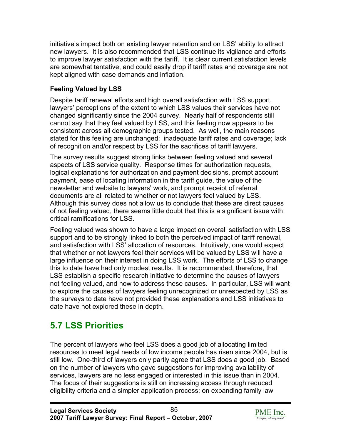initiative's impact both on existing lawyer retention and on LSS' ability to attract new lawyers. It is also recommended that LSS continue its vigilance and efforts to improve lawyer satisfaction with the tariff. It is clear current satisfaction levels are somewhat tentative, and could easily drop if tariff rates and coverage are not kept aligned with case demands and inflation.

# **Feeling Valued by LSS**

Despite tariff renewal efforts and high overall satisfaction with LSS support, lawyers' perceptions of the extent to which LSS values their services have not changed significantly since the 2004 survey. Nearly half of respondents still cannot say that they feel valued by LSS, and this feeling now appears to be consistent across all demographic groups tested. As well, the main reasons stated for this feeling are unchanged: inadequate tariff rates and coverage; lack of recognition and/or respect by LSS for the sacrifices of tariff lawyers.

The survey results suggest strong links between feeling valued and several aspects of LSS service quality. Response times for authorization requests, logical explanations for authorization and payment decisions, prompt account payment, ease of locating information in the tariff guide, the value of the newsletter and website to lawyers' work, and prompt receipt of referral documents are all related to whether or not lawyers feel valued by LSS. Although this survey does not allow us to conclude that these are direct causes of not feeling valued, there seems little doubt that this is a significant issue with critical ramifications for LSS.

Feeling valued was shown to have a large impact on overall satisfaction with LSS support and to be strongly linked to both the perceived impact of tariff renewal, and satisfaction with LSS' allocation of resources. Intuitively, one would expect that whether or not lawyers feel their services will be valued by LSS will have a large influence on their interest in doing LSS work. The efforts of LSS to change this to date have had only modest results. It is recommended, therefore, that LSS establish a specific research initiative to determine the causes of lawyers not feeling valued, and how to address these causes. In particular, LSS will want to explore the causes of lawyers feeling unrecognized or unrespected by LSS as the surveys to date have not provided these explanations and LSS initiatives to date have not explored these in depth.

# **5.7 LSS Priorities**

The percent of lawyers who feel LSS does a good job of allocating limited resources to meet legal needs of low income people has risen since 2004, but is still low. One-third of lawyers only partly agree that LSS does a good job. Based on the number of lawyers who gave suggestions for improving availability of services, lawyers are no less engaged or interested in this issue than in 2004. The focus of their suggestions is still on increasing access through reduced eligibility criteria and a simpler application process; on expanding family law

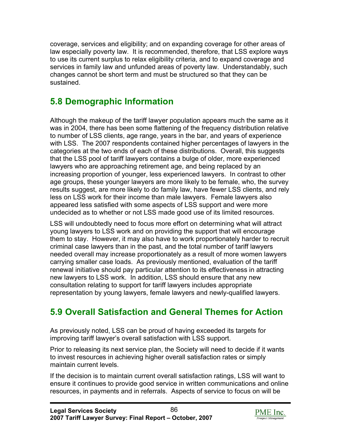coverage, services and eligibility; and on expanding coverage for other areas of law especially poverty law. It is recommended, therefore, that LSS explore ways to use its current surplus to relax eligibility criteria, and to expand coverage and services in family law and unfunded areas of poverty law. Understandably, such changes cannot be short term and must be structured so that they can be sustained.

# **5.8 Demographic Information**

Although the makeup of the tariff lawyer population appears much the same as it was in 2004, there has been some flattening of the frequency distribution relative to number of LSS clients, age range, years in the bar, and years of experience with LSS. The 2007 respondents contained higher percentages of lawyers in the categories at the two ends of each of these distributions. Overall, this suggests that the LSS pool of tariff lawyers contains a bulge of older, more experienced lawyers who are approaching retirement age, and being replaced by an increasing proportion of younger, less experienced lawyers. In contrast to other age groups, these younger lawyers are more likely to be female, who, the survey results suggest, are more likely to do family law, have fewer LSS clients, and rely less on LSS work for their income than male lawyers. Female lawyers also appeared less satisfied with some aspects of LSS support and were more undecided as to whether or not LSS made good use of its limited resources.

LSS will undoubtedly need to focus more effort on determining what will attract young lawyers to LSS work and on providing the support that will encourage them to stay. However, it may also have to work proportionately harder to recruit criminal case lawyers than in the past, and the total number of tariff lawyers needed overall may increase proportionately as a result of more women lawyers carrying smaller case loads. As previously mentioned, evaluation of the tariff renewal initiative should pay particular attention to its effectiveness in attracting new lawyers to LSS work. In addition, LSS should ensure that any new consultation relating to support for tariff lawyers includes appropriate representation by young lawyers, female lawyers and newly-qualified lawyers.

# **5.9 Overall Satisfaction and General Themes for Action**

As previously noted, LSS can be proud of having exceeded its targets for improving tariff lawyer's overall satisfaction with LSS support.

Prior to releasing its next service plan, the Society will need to decide if it wants to invest resources in achieving higher overall satisfaction rates or simply maintain current levels.

If the decision is to maintain current overall satisfaction ratings, LSS will want to ensure it continues to provide good service in written communications and online resources, in payments and in referrals. Aspects of service to focus on will be

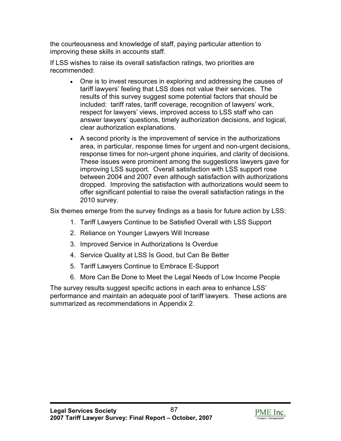the courteousness and knowledge of staff, paying particular attention to improving these skills in accounts staff.

If LSS wishes to raise its overall satisfaction ratings, two priorities are recommended:

- One is to invest resources in exploring and addressing the causes of tariff lawyers' feeling that LSS does not value their services. The results of this survey suggest some potential factors that should be included: tariff rates, tariff coverage, recognition of lawyers' work, respect for lawyers' views, improved access to LSS staff who can answer lawyers' questions, timely authorization decisions, and logical, clear authorization explanations.
- A second priority is the improvement of service in the authorizations area, in particular, response times for urgent and non-urgent decisions, response times for non-urgent phone inquiries, and clarity of decisions. These issues were prominent among the suggestions lawyers gave for improving LSS support. Overall satisfaction with LSS support rose between 2004 and 2007 even although satisfaction with authorizations dropped. Improving the satisfaction with authorizations would seem to offer significant potential to raise the overall satisfaction ratings in the 2010 survey.

Six themes emerge from the survey findings as a basis for future action by LSS:

- 1. Tariff Lawyers Continue to be Satisfied Overall with LSS Support
- 2. Reliance on Younger Lawyers Will Increase
- 3. Improved Service in Authorizations Is Overdue
- 4. Service Quality at LSS Is Good, but Can Be Better
- 5. Tariff Lawyers Continue to Embrace E-Support
- 6. More Can Be Done to Meet the Legal Needs of Low Income People

The survey results suggest specific actions in each area to enhance LSS' performance and maintain an adequate pool of tariff lawyers. These actions are summarized as recommendations in Appendix 2.

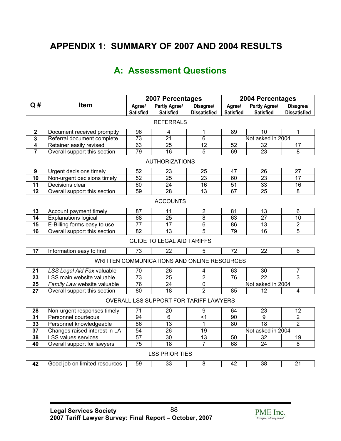# **APPENDIX 1: SUMMARY OF 2007 AND 2004 RESULTS**

# **A: Assessment Questions**

| Q#                      | <b>Item</b>                   | 2007 Percentages<br>Partly Agree/<br>Agree/<br>Disagree/ |                                             | Agree/              | 2004 Percentages<br>Partly Agree/ | Disagree/         |                         |
|-------------------------|-------------------------------|----------------------------------------------------------|---------------------------------------------|---------------------|-----------------------------------|-------------------|-------------------------|
|                         |                               | <b>Satisfied</b>                                         | <b>Satisfied</b>                            | <b>Dissatisfied</b> | <b>Satisfied</b>                  | <b>Satisfied</b>  | <b>Dissatisfied</b>     |
|                         |                               |                                                          | <b>REFERRALS</b>                            |                     |                                   |                   |                         |
| $\boldsymbol{2}$        | Document received promptly    | 96                                                       | 4                                           | 1                   | 89                                | 10                | 1                       |
| $\mathbf{3}$            | Referral document complete    | 73                                                       | 21                                          | 6                   |                                   | Not asked in 2004 |                         |
| $\overline{\mathbf{4}}$ | Retainer easily revised       | 63                                                       | $\overline{25}$                             | 12                  | 52                                | $\overline{32}$   | $\overline{17}$         |
| $\overline{7}$          | Overall support this section  | 79                                                       | 16                                          | $\overline{5}$      | 69                                | 23                | 8                       |
|                         |                               |                                                          | <b>AUTHORIZATIONS</b>                       |                     |                                   |                   |                         |
| 9                       | Urgent decisions timely       | 52                                                       | 23                                          | 25                  | 47                                | 26                | 27                      |
| 10                      | Non-urgent decisions timely   | 52                                                       | $\overline{25}$                             | $\overline{23}$     | 60                                | $\overline{23}$   | $\overline{17}$         |
| $\overline{11}$         | Decisions clear               | 60                                                       | $\overline{24}$                             | $\overline{16}$     | $\overline{51}$                   | 33                | $\overline{16}$         |
| $\overline{12}$         | Overall support this section  | 59                                                       | $\overline{28}$                             | $\overline{13}$     | 67                                | $\overline{25}$   | $\overline{8}$          |
|                         |                               |                                                          | <b>ACCOUNTS</b>                             |                     |                                   |                   |                         |
| 13                      | Account payment timely        | 87                                                       | 11                                          | 2                   | 81                                | 13                | 6                       |
| 14                      | <b>Explanations logical</b>   | 68                                                       | $\overline{25}$                             | 8                   | 63                                | $\overline{27}$   | 10                      |
| 15                      | E-Billing forms easy to use   | $\overline{77}$                                          | 17                                          | $\overline{6}$      | 86                                | $\overline{13}$   | $\overline{2}$          |
| $\overline{16}$         | Overall support this section  | $\overline{82}$                                          | $\overline{13}$                             | $\overline{5}$      | 79                                | 16                | $\overline{5}$          |
|                         |                               |                                                          | <b>GUIDE TO LEGAL AID TARIFFS</b>           |                     |                                   |                   |                         |
| 17                      | Information easy to find      | 73                                                       | 22                                          | 5                   | 72                                | 22                | 6                       |
|                         |                               |                                                          | WRITTEN COMMUNICATIONS AND ONLINE RESOURCES |                     |                                   |                   |                         |
| 21                      | LSS Legal Aid Fax valuable    | 70                                                       | 26                                          | 4                   | 63                                | 30                | 7                       |
| $\overline{23}$         | LSS main website valuable     | $\overline{73}$                                          | $\overline{25}$                             | $\overline{2}$      | 76                                | $\overline{22}$   | $\overline{3}$          |
| $\overline{25}$         | Family Law website valuable   | 76                                                       | 24                                          | $\overline{0}$      |                                   | Not asked in 2004 |                         |
| $\overline{27}$         | Overall support this section  | 80                                                       | $\overline{18}$                             | $\overline{2}$      | 85                                | 12                | $\overline{\mathbf{4}}$ |
|                         |                               |                                                          | OVERALL LSS SUPPORT FOR TARIFF LAWYERS      |                     |                                   |                   |                         |
| 28                      | Non-urgent responses timely   | 71                                                       | 20                                          | 9                   | 64                                | 23                | 12                      |
| 31                      | Personnel courteous           | 94                                                       | 6                                           | < 1                 | 90                                | $\overline{9}$    | $\overline{2}$          |
| 33                      | Personnel knowledgeable       | 86                                                       | 13                                          | 1                   | 80                                | $\overline{18}$   | $\overline{2}$          |
| $\overline{37}$         | Changes raised interest in LA | 54                                                       | $\overline{26}$                             | 19                  |                                   | Not asked in 2004 |                         |
| 38                      | <b>LSS values services</b>    | 57                                                       | 30                                          | 13                  | 50                                | $\overline{32}$   | $\overline{19}$         |
| 40                      | Overall support for lawyers   | $\overline{75}$                                          | $\overline{18}$                             | 7                   | 68                                | 24                | 8                       |
|                         |                               |                                                          | <b>LSS PRIORITIES</b>                       |                     |                                   |                   |                         |
| 42                      | Good job on limited resources | 59                                                       | 33                                          | 8                   | 42                                | 38                | 21                      |
|                         |                               |                                                          |                                             |                     |                                   |                   |                         |

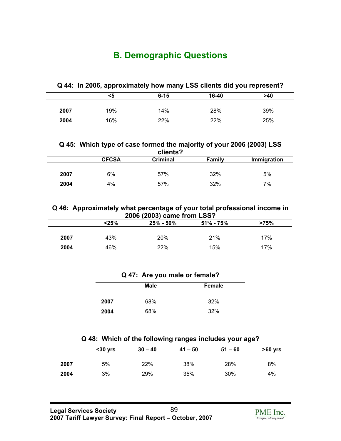# **B. Demographic Questions**

|  |  |  |  |  | Q 44: In 2006, approximately how many LSS clients did you represent? |
|--|--|--|--|--|----------------------------------------------------------------------|
|--|--|--|--|--|----------------------------------------------------------------------|

|      | <5  | $6 - 15$ | 16-40 | >40 |
|------|-----|----------|-------|-----|
| 2007 | 19% | 14%      | 28%   | 39% |
|      |     |          |       |     |
| 2004 | 16% | 22%      | 22%   | 25% |

## **Q 45: Which type of case formed the majority of your 2006 (2003) LSS clients?**

|      | <b>CFCSA</b> | Criminal | Family | Immigration |
|------|--------------|----------|--------|-------------|
|      |              |          |        |             |
| 2007 | 6%           | 57%      | 32%    | 5%          |
| 2004 | 4%           | 57%      | 32%    | 7%          |
|      |              |          |        |             |

# **Q 46: Approximately what percentage of your total professional income in 2006 (2003) came from LSS?**

|      | $<$ 25% | $25\% - 50\%$ | $51\% - 75\%$ | >75% |  |
|------|---------|---------------|---------------|------|--|
|      |         |               |               |      |  |
| 2007 | 43%     | 20%           | 21%           | 17%  |  |
| 2004 | 46%     | 22%           | 15%           | 17%  |  |
|      |         |               |               |      |  |

# **Q 47: Are you male or female?**

|      | <b>Male</b> | Female |
|------|-------------|--------|
|      |             |        |
| 2007 | 68%         | 32%    |
| 2004 | 68%         | 32%    |

## **Q 48: Which of the following ranges includes your age?**

|      | $30$ yrs | $30 - 40$ | $41 - 50$ | $51 - 60$ | $>60$ yrs |
|------|----------|-----------|-----------|-----------|-----------|
|      |          |           |           |           |           |
| 2007 | 5%       | 22%       | 38%       | 28%       | 8%        |
| 2004 | 3%       | 29%       | 35%       | 30%       | 4%        |

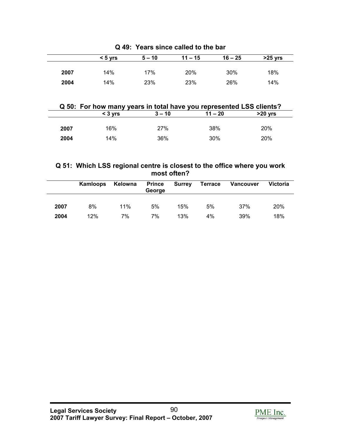|      | $< 5 \text{ vrs}$ | $5 - 10$ | $11 - 15$ | $16 - 25$ | $>25$ yrs |
|------|-------------------|----------|-----------|-----------|-----------|
| 2007 | 14%               | 17%      | 20%       | 30%       | 18%       |
| 2004 | 14%               | 23%      | 23%       | 26%       | 14%       |

**Q 49: Years since called to the bar**

# **Q 50: For how many years in total have you represented LSS clients?**

|      | $<$ 3 vrs | $3 - 10$ | $11 - 20$ | $>20$ yrs |
|------|-----------|----------|-----------|-----------|
|      |           |          |           |           |
| 2007 | 16%       | 27%      | 38%       | 20%       |
| 2004 | 14%       | 36%      | 30%       | 20%       |
|      |           |          |           |           |

# **Q 51: Which LSS regional centre is closest to the office where you work most often?**

|      | Kamloops | Kelowna | <b>Prince</b><br>George | <b>Surrey</b> | <b>Terrace</b> | Vancouver | <b>Victoria</b> |
|------|----------|---------|-------------------------|---------------|----------------|-----------|-----------------|
| 2007 | 8%       | 11%     | 5%                      | 15%           | 5%             | 37%       | 20%             |
| 2004 | 12%      | 7%      | 7%                      | 13%           | 4%             | 39%       | 18%             |

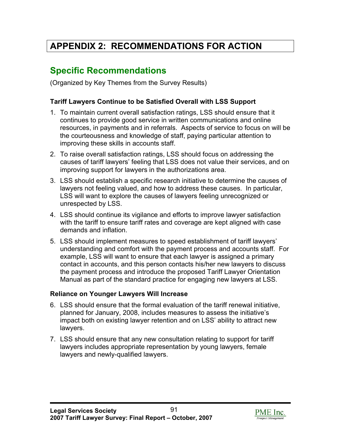# **APPENDIX 2: RECOMMENDATIONS FOR ACTION**

# **Specific Recommendations**

(Organized by Key Themes from the Survey Results)

# **Tariff Lawyers Continue to be Satisfied Overall with LSS Support**

- 1. To maintain current overall satisfaction ratings, LSS should ensure that it continues to provide good service in written communications and online resources, in payments and in referrals. Aspects of service to focus on will be the courteousness and knowledge of staff, paying particular attention to improving these skills in accounts staff.
- 2. To raise overall satisfaction ratings, LSS should focus on addressing the causes of tariff lawyers' feeling that LSS does not value their services, and on improving support for lawyers in the authorizations area.
- 3. LSS should establish a specific research initiative to determine the causes of lawyers not feeling valued, and how to address these causes. In particular, LSS will want to explore the causes of lawyers feeling unrecognized or unrespected by LSS.
- 4. LSS should continue its vigilance and efforts to improve lawyer satisfaction with the tariff to ensure tariff rates and coverage are kept aligned with case demands and inflation.
- 5. LSS should implement measures to speed establishment of tariff lawyers' understanding and comfort with the payment process and accounts staff. For example, LSS will want to ensure that each lawyer is assigned a primary contact in accounts, and this person contacts his/her new lawyers to discuss the payment process and introduce the proposed Tariff Lawyer Orientation Manual as part of the standard practice for engaging new lawyers at LSS.

# **Reliance on Younger Lawyers Will Increase**

- 6. LSS should ensure that the formal evaluation of the tariff renewal initiative, planned for January, 2008, includes measures to assess the initiative's impact both on existing lawyer retention and on LSS' ability to attract new lawyers.
- 7. LSS should ensure that any new consultation relating to support for tariff lawyers includes appropriate representation by young lawyers, female lawyers and newly-qualified lawyers.

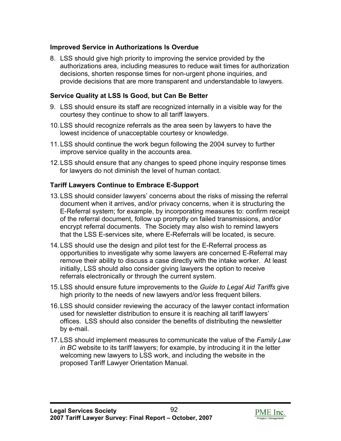# **Improved Service in Authorizations Is Overdue**

8. LSS should give high priority to improving the service provided by the authorizations area, including measures to reduce wait times for authorization decisions, shorten response times for non-urgent phone inquiries, and provide decisions that are more transparent and understandable to lawyers.

# **Service Quality at LSS Is Good, but Can Be Better**

- 9. LSS should ensure its staff are recognized internally in a visible way for the courtesy they continue to show to all tariff lawyers.
- 10. LSS should recognize referrals as the area seen by lawyers to have the lowest incidence of unacceptable courtesy or knowledge.
- 11. LSS should continue the work begun following the 2004 survey to further improve service quality in the accounts area.
- 12. LSS should ensure that any changes to speed phone inquiry response times for lawyers do not diminish the level of human contact.

# **Tariff Lawyers Continue to Embrace E-Support**

- 13. LSS should consider lawyers' concerns about the risks of missing the referral document when it arrives, and/or privacy concerns, when it is structuring the E-Referral system; for example, by incorporating measures to: confirm receipt of the referral document, follow up promptly on failed transmissions, and/or encrypt referral documents. The Society may also wish to remind lawyers that the LSS E-services site, where E-Referrals will be located, is secure.
- 14. LSS should use the design and pilot test for the E-Referral process as opportunities to investigate why some lawyers are concerned E-Referral may remove their ability to discuss a case directly with the intake worker. At least initially, LSS should also consider giving lawyers the option to receive referrals electronically or through the current system.
- 15. LSS should ensure future improvements to the *Guide to Legal Aid Tariffs* give high priority to the needs of new lawyers and/or less frequent billers.
- 16. LSS should consider reviewing the accuracy of the lawyer contact information used for newsletter distribution to ensure it is reaching all tariff lawyers' offices. LSS should also consider the benefits of distributing the newsletter by e-mail.
- 17. LSS should implement measures to communicate the value of the *Family Law in BC* website to its tariff lawyers; for example, by introducing it in the letter welcoming new lawyers to LSS work, and including the website in the proposed Tariff Lawyer Orientation Manual.

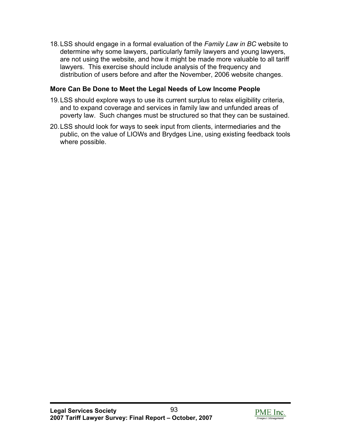18. LSS should engage in a formal evaluation of the *Family Law in BC* website to determine why some lawyers, particularly family lawyers and young lawyers, are not using the website, and how it might be made more valuable to all tariff lawyers. This exercise should include analysis of the frequency and distribution of users before and after the November, 2006 website changes.

# **More Can Be Done to Meet the Legal Needs of Low Income People**

- 19. LSS should explore ways to use its current surplus to relax eligibility criteria, and to expand coverage and services in family law and unfunded areas of poverty law. Such changes must be structured so that they can be sustained.
- 20. LSS should look for ways to seek input from clients, intermediaries and the public, on the value of LIOWs and Brydges Line, using existing feedback tools where possible.

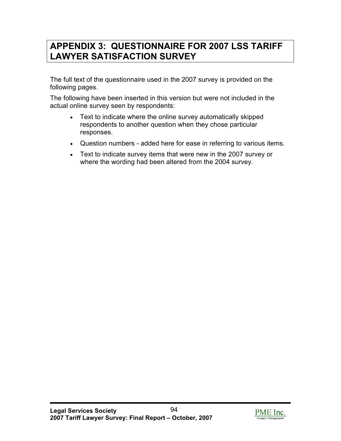# **APPENDIX 3: QUESTIONNAIRE FOR 2007 LSS TARIFF LAWYER SATISFACTION SURVEY**

The full text of the questionnaire used in the 2007 survey is provided on the following pages.

The following have been inserted in this version but were not included in the actual online survey seen by respondents:

- Text to indicate where the online survey automatically skipped respondents to another question when they chose particular responses.
- Question numbers added here for ease in referring to various items.
- Text to indicate survey items that were new in the 2007 survey or where the wording had been altered from the 2004 survey.

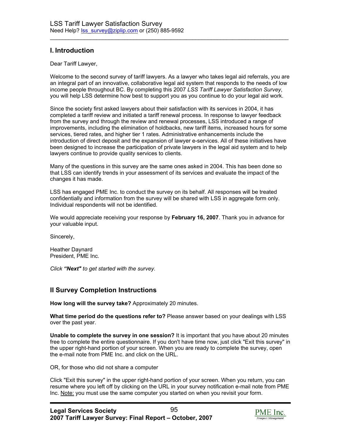# **I. Introduction**

Dear Tariff Lawyer,

Welcome to the second survey of tariff lawyers. As a lawyer who takes legal aid referrals, you are an integral part of an innovative, collaborative legal aid system that responds to the needs of low income people throughout BC. By completing this 2007 *LSS Tariff Lawyer Satisfaction Survey*, you will help LSS determine how best to support you as you continue to do your legal aid work.

 $\mathcal{L}_\text{max}$  , and the set of the set of the set of the set of the set of the set of the set of the set of the set of the set of the set of the set of the set of the set of the set of the set of the set of the set of the

Since the society first asked lawyers about their satisfaction with its services in 2004, it has completed a tariff review and initiated a tariff renewal process. In response to lawyer feedback from the survey and through the review and renewal processes, LSS introduced a range of improvements, including the elimination of holdbacks, new tariff items, increased hours for some services, tiered rates, and higher tier 1 rates. Administrative enhancements include the introduction of direct deposit and the expansion of lawyer e-services. All of these initiatives have been designed to increase the participation of private lawyers in the legal aid system and to help lawyers continue to provide quality services to clients.

Many of the questions in this survey are the same ones asked in 2004. This has been done so that LSS can identify trends in your assessment of its services and evaluate the impact of the changes it has made.

LSS has engaged PME Inc. to conduct the survey on its behalf. All responses will be treated confidentially and information from the survey will be shared with LSS in aggregate form only. Individual respondents will not be identified.

We would appreciate receiving your response by **February 16, 2007**. Thank you in advance for your valuable input.

Sincerely,

Heather Daynard President, PME Inc.

*Click "Next" to get started with the survey.* 

# **II Survey Completion Instructions**

**How long will the survey take?** Approximately 20 minutes.

**What time period do the questions refer to?** Please answer based on your dealings with LSS over the past year.

**Unable to complete the survey in one session?** It is important that you have about 20 minutes free to complete the entire questionnaire. If you don't have time now, just click "Exit this survey" in the upper right-hand portion of your screen. When you are ready to complete the survey, open the e-mail note from PME Inc. and click on the URL.

OR, for those who did not share a computer

Click "Exit this survey" in the upper right-hand portion of your screen. When you return, you can resume where you left off by clicking on the URL in your survey notification e-mail note from PME Inc. Note: you must use the same computer you started on when you revisit your form.

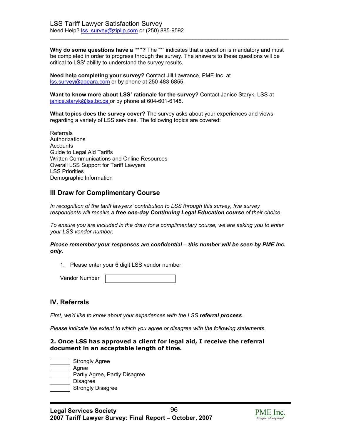Why do some questions have a "\*"? The "\*" indicates that a question is mandatory and must be completed in order to progress through the survey. The answers to these questions will be critical to LSS' ability to understand the survey results.

 $\mathcal{L}_\text{max}$  , and the set of the set of the set of the set of the set of the set of the set of the set of the set of the set of the set of the set of the set of the set of the set of the set of the set of the set of the

**Need help completing your survey?** Contact Jill Lawrance, PME Inc. at lss.survey@ageara.com or by phone at 250-483-6855.

**Want to know more about LSS' rationale for the survey?** Contact Janice Staryk, LSS at janice.staryk@lss.bc.ca or by phone at 604-601-6148.

**What topics does the survey cover?** The survey asks about your experiences and views regarding a variety of LSS services. The following topics are covered:

Referrals Authorizations Accounts Guide to Legal Aid Tariffs Written Communications and Online Resources Overall LSS Support for Tariff Lawyers LSS Priorities Demographic Information

# **III Draw for Complimentary Course**

*In recognition of the tariff lawyers' contribution to LSS through this survey, five survey respondents will receive a free one-day Continuing Legal Education course of their choice.* 

*To ensure you are included in the draw for a complimentary course, we are asking you to enter your LSS vendor number.* 

*Please remember your responses are confidential – this number will be seen by PME Inc. only.* 

1. Please enter your 6 digit LSS vendor number.

| <b>Vendor Number</b> |  |
|----------------------|--|
|----------------------|--|

## **IV. Referrals**

*First, we'd like to know about your experiences with the LSS referral process.* 

*Please indicate the extent to which you agree or disagree with the following statements.*

## **2. Once LSS has approved a client for legal aid, I receive the referral document in an acceptable length of time.**



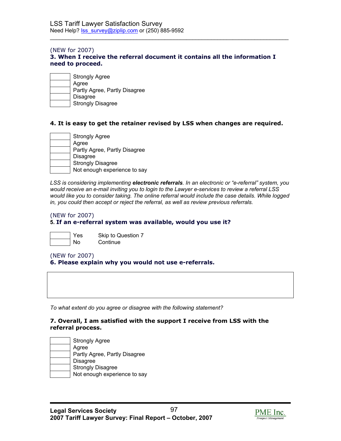### (NEW for 2007) **3. When I receive the referral document it contains all the information I need to proceed.**

 $\mathcal{L}_\text{max}$  , and the set of the set of the set of the set of the set of the set of the set of the set of the set of the set of the set of the set of the set of the set of the set of the set of the set of the set of the

| <b>Strongly Agree</b>         |
|-------------------------------|
| Agree                         |
| Partly Agree, Partly Disagree |
| Disagree                      |
| <b>Strongly Disagree</b>      |

## **4. It is easy to get the retainer revised by LSS when changes are required.**

| <b>Strongly Agree</b>         |
|-------------------------------|
| Agree                         |
| Partly Agree, Partly Disagree |
| <b>Disagree</b>               |
| <b>Strongly Disagree</b>      |
| Not enough experience to say  |

*LSS is considering implementing electronic referrals. In an electronic or "e-referral" system, you would receive an e-mail inviting you to login to the Lawyer e-services to review a referral LSS would like you to consider taking. The online referral would include the case details. While logged in, you could then accept or reject the referral, as well as review previous referrals.*

## (NEW for 2007)

## **5. If an e-referral system was available, would you use it?**



Yes Skip to Question 7 No Continue

## (NEW for 2007)

## **6. Please explain why you would not use e-referrals.**

*To what extent do you agree or disagree with the following statement?* 

## **7. Overall, I am satisfied with the support I receive from LSS with the referral process.**



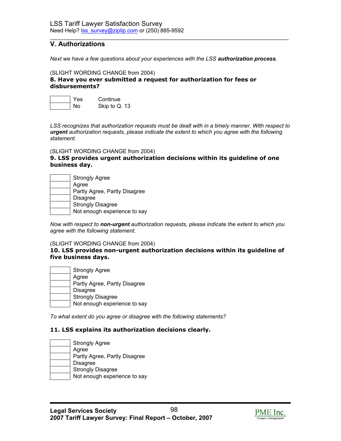# **V. Authorizations**

*Next we have a few questions about your experiences with the LSS authorization process.* 

 $\mathcal{L}_\text{max}$  , and the set of the set of the set of the set of the set of the set of the set of the set of the set of the set of the set of the set of the set of the set of the set of the set of the set of the set of the

#### (SLIGHT WORDING CHANGE from 2004)

**8. Have you ever submitted a request for authorization for fees or disbursements?** 



*LSS recognizes that authorization requests must be dealt with in a timely manner. With respect to urgent authorization requests, please indicate the extent to which you agree with the following statement.*

(SLIGHT WORDING CHANGE from 2004)

## **9. LSS provides urgent authorization decisions within its guideline of one business day.**

| <b>Strongly Agree</b>         |
|-------------------------------|
| Agree                         |
| Partly Agree, Partly Disagree |
| <b>Disagree</b>               |
| <b>Strongly Disagree</b>      |
| Not enough experience to say  |

*Now with respect to non-urgent authorization requests, please indicate the extent to which you agree with the following statement.* 

#### (SLIGHT WORDING CHANGE from 2004)

#### **10. LSS provides non-urgent authorization decisions within its guideline of five business days.**

 Strongly Agree Agree Partly Agree, Partly Disagree Disagree Strongly Disagree Not enough experience to say

*To what extent do you agree or disagree with the following statements?* 

## **11. LSS explains its authorization decisions clearly.**

 Strongly Agree Agree Partly Agree, Partly Disagree Disagree Strongly Disagree Not enough experience to say

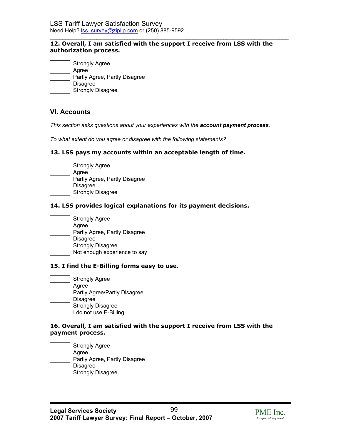#### $\mathcal{L}_\text{max}$  , and the set of the set of the set of the set of the set of the set of the set of the set of the set of the set of the set of the set of the set of the set of the set of the set of the set of the set of the **12. Overall, I am satisfied with the support I receive from LSS with the authorization process.**

| <b>Strongly Agree</b>         |
|-------------------------------|
| Agree                         |
| Partly Agree, Partly Disagree |
| <b>Disagree</b>               |
| <b>Strongly Disagree</b>      |

# **VI. Accounts**

*This section asks questions about your experiences with the account payment process.* 

*To what extent do you agree or disagree with the following statements?* 

## **13. LSS pays my accounts within an acceptable length of time.**

| <b>Strongly Agree</b>         |
|-------------------------------|
| Agree                         |
| Partly Agree, Partly Disagree |
| Disagree                      |
| <b>Strongly Disagree</b>      |

## **14. LSS provides logical explanations for its payment decisions.**

| <b>Strongly Agree</b>         |
|-------------------------------|
| Agree                         |
| Partly Agree, Partly Disagree |
| <b>Disagree</b>               |
| <b>Strongly Disagree</b>      |
| Not enough experience to say  |

## **15. I find the E-Billing forms easy to use.**

| <b>Strongly Agree</b>        |
|------------------------------|
| Agree                        |
| Partly Agree/Partly Disagree |
| <b>Disagree</b>              |
| <b>Strongly Disagree</b>     |
| I do not use E-Billing       |

## **16. Overall, I am satisfied with the support I receive from LSS with the payment process.**



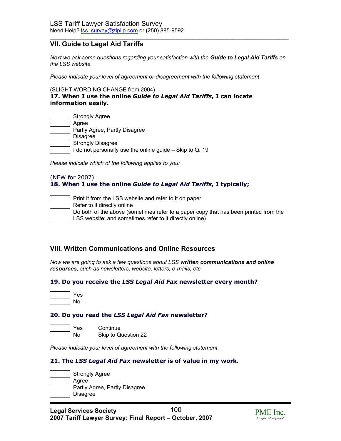# **VII. Guide to Legal Aid Tariffs**

*Next we ask some questions regarding your satisfaction with the Guide to Legal Aid Tariffs on the LSS website.* 

 $\mathcal{L}_\text{max}$  , and the set of the set of the set of the set of the set of the set of the set of the set of the set of the set of the set of the set of the set of the set of the set of the set of the set of the set of the

*Please indicate your level of agreement or disagreement with the following statement.*

(SLIGHT WORDING CHANGE from 2004)

**17. When I use the online** *Guide to Legal Aid Tariffs***, I can locate information easily.** 

| <b>Strongly Agree</b>                                    |
|----------------------------------------------------------|
| Agree                                                    |
| Partly Agree, Partly Disagree                            |
| <b>Disagree</b>                                          |
| <b>Strongly Disagree</b>                                 |
| I do not personally use the online guide – Skip to Q. 19 |

*Please indicate which of the following applies to you:*

## (NEW for 2007) **18. When I use the online** *Guide to Legal Aid Tariffs***, I typically;**



## **VIII. Written Communications and Online Resources**

*Now we are going to ask a few questions about LSS written communications and online resources, such as newsletters, website, letters, e-mails, etc.*

## **19. Do you receive the** *LSS Legal Aid Fax* **newsletter every month?**

| s   |
|-----|
| הו. |

## **20. Do you read the** *LSS Legal Aid Fax* **newsletter?**

 Yes Continue No Skip to Question 22

*Please indicate your level of agreement with the following statement.* 

## **21. The** *LSS Legal Aid Fax* **newsletter is of value in my work.**

| <b>Strongly Agree</b>         |
|-------------------------------|
| Agree                         |
| Partly Agree, Partly Disagree |
| <b>Disagree</b>               |
|                               |

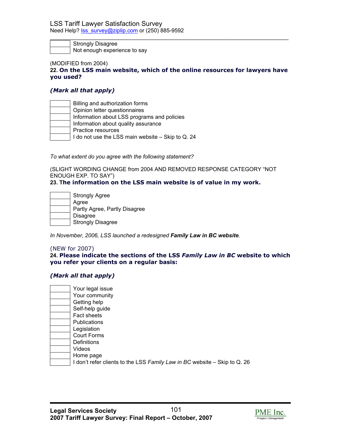Strongly Disagree Not enough experience to say

#### (MODIFIED from 2004)

**22. On the LSS main website, which of the online resources for lawyers have you used?** 

 $\mathcal{L}_\text{max}$  , and the set of the set of the set of the set of the set of the set of the set of the set of the set of the set of the set of the set of the set of the set of the set of the set of the set of the set of the

## *(Mark all that apply)*

| Billing and authorization forms                   |
|---------------------------------------------------|
| Opinion letter questionnaires                     |
| Information about LSS programs and policies       |
| Information about quality assurance               |
| Practice resources                                |
| I do not use the LSS main website - Skip to Q. 24 |

*To what extent do you agree with the following statement?* 

(SLIGHT WORDING CHANGE from 2004 AND REMOVED RESPONSE CATEGORY "NOT ENOUGH EXP. TO SAY")

#### **23. The information on the LSS main website is of value in my work.**

 Strongly Agree Agree Partly Agree, Partly Disagree Disagree Strongly Disagree

*In November, 2006, LSS launched a redesigned Family Law in BC website.* 

#### (NEW for 2007)

## **24. Please indicate the sections of the LSS** *Family Law in BC* **website to which you refer your clients on a regular basis:**

## *(Mark all that apply)*

| Your legal issue                                                          |
|---------------------------------------------------------------------------|
| Your community                                                            |
| Getting help                                                              |
| Self-help guide                                                           |
| <b>Fact sheets</b>                                                        |
| <b>Publications</b>                                                       |
| Legislation                                                               |
| <b>Court Forms</b>                                                        |
| <b>Definitions</b>                                                        |
| Videos                                                                    |
| Home page                                                                 |
| I don't refer clients to the LSS Family Law in BC website - Skip to Q. 26 |

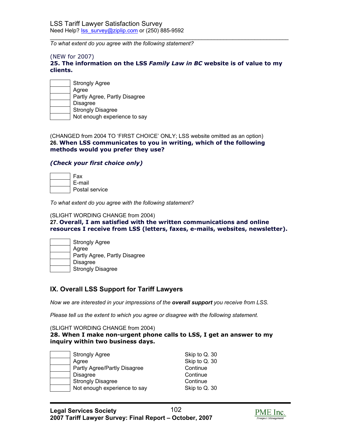*To what extent do you agree with the following statement?*

#### (NEW for 2007)

## **25. The information on the LSS** *Family Law in BC* **website is of value to my clients.**

 $\mathcal{L}_\text{max}$  , and the set of the set of the set of the set of the set of the set of the set of the set of the set of the set of the set of the set of the set of the set of the set of the set of the set of the set of the

| <b>Strongly Agree</b>         |
|-------------------------------|
| Agree                         |
| Partly Agree, Partly Disagree |
| <b>Disagree</b>               |
| <b>Strongly Disagree</b>      |
| Not enough experience to say  |

(CHANGED from 2004 TO 'FIRST CHOICE' ONLY; LSS website omitted as an option) **26. When LSS communicates to you in writing, which of the following methods would you prefer they use?** 

## *(Check your first choice only)*

| Fax            |
|----------------|
| E-mail         |
| Postal service |

*To what extent do you agree with the following statement?* 

#### (SLIGHT WORDING CHANGE from 2004)

**27. Overall, I am satisfied with the written communications and online resources I receive from LSS (letters, faxes, e-mails, websites, newsletter).**

| <b>Strongly Agree</b>         |
|-------------------------------|
| Agree                         |
| Partly Agree, Partly Disagree |
| <b>Disagree</b>               |
| <b>Strongly Disagree</b>      |

## **IX. Overall LSS Support for Tariff Lawyers**

*Now we are interested in your impressions of the overall support you receive from LSS.* 

*Please tell us the extent to which you agree or disagree with the following statement.* 

(SLIGHT WORDING CHANGE from 2004)

## **28. When I make non-urgent phone calls to LSS, I get an answer to my inquiry within two business days.**

| <b>Strongly Agree</b>        | Skip to Q. 30 |
|------------------------------|---------------|
| Agree                        | Skip to Q. 30 |
| Partly Agree/Partly Disagree | Continue      |
| <b>Disagree</b>              | Continue      |
| <b>Strongly Disagree</b>     | Continue      |
| Not enough experience to say | Skip to Q. 30 |

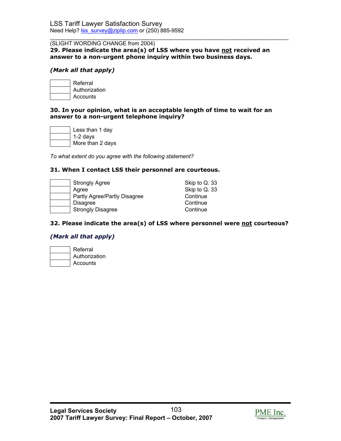#### $\mathcal{L}_\text{max}$  , and the set of the set of the set of the set of the set of the set of the set of the set of the set of the set of the set of the set of the set of the set of the set of the set of the set of the set of the (SLIGHT WORDING CHANGE from 2004)

**29. Please indicate the area(s) of LSS where you have not received an answer to a non-urgent phone inquiry within two business days.** 

## *(Mark all that apply)*

 Referral Authorization **Accounts** 

## **30. In your opinion, what is an acceptable length of time to wait for an answer to a non-urgent telephone inquiry?**

| Less than 1 day  |
|------------------|
| $1-2$ days       |
| More than 2 days |

*To what extent do you agree with the following statement?* 

## **31. When I contact LSS their personnel are courteous.**

| <b>Strongly Agree</b>        | Skip to Q. 33 |
|------------------------------|---------------|
| Agree                        | Skip to Q. 33 |
| Partly Agree/Partly Disagree | Continue      |
| <b>Disagree</b>              | Continue      |
| <b>Strongly Disagree</b>     | Continue      |

## **32. Please indicate the area(s) of LSS where personnel were not courteous?**

## *(Mark all that apply)*

| Referral      |
|---------------|
| Authorization |
| Accounts      |

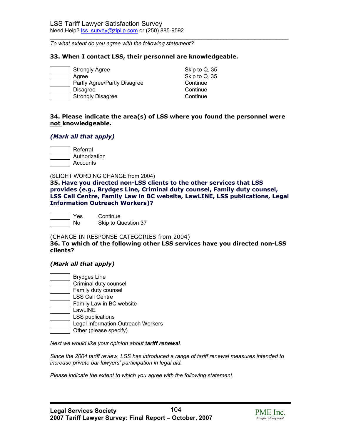*To what extent do you agree with the following statement?* 

### **33. When I contact LSS, their personnel are knowledgeable.**

| <b>Strongly Agree</b>        | Skip to Q. 35 |
|------------------------------|---------------|
| Agree                        | Skip to Q. 35 |
| Partly Agree/Partly Disagree | Continue      |
| <b>Disagree</b>              | Continue      |
| <b>Strongly Disagree</b>     | Continue      |

## **34. Please indicate the area(s) of LSS where you found the personnel were not knowledgeable.**

 $\mathcal{L}_\text{max}$  , and the set of the set of the set of the set of the set of the set of the set of the set of the set of the set of the set of the set of the set of the set of the set of the set of the set of the set of the

## *(Mark all that apply)*

 Referral Authorization Accounts

(SLIGHT WORDING CHANGE from 2004)

**35. Have you directed non-LSS clients to the other services that LSS provides (e.g., Brydges Line, Criminal duty counsel, Family duty counsel, LSS Call Centre, Family Law in BC website, LawLINE, LSS publications, Legal Information Outreach Workers)?** 

 Yes Continue No Skip to Question 37

(CHANGE IN RESPONSE CATEGORIES from 2004)

**36. To which of the following other LSS services have you directed non-LSS clients?** 

## *(Mark all that apply)*

| <b>Brydges Line</b>                |
|------------------------------------|
| Criminal duty counsel              |
| Family duty counsel                |
| <b>LSS Call Centre</b>             |
| Family Law in BC website           |
| LawLINE                            |
| <b>LSS publications</b>            |
| Legal Information Outreach Workers |
| Other (please specify)             |

*Next we would like your opinion about tariff renewal.* 

*Since the 2004 tariff review, LSS has introduced a range of tariff renewal measures intended to increase private bar lawyers' participation in legal aid.* 

*Please indicate the extent to which you agree with the following statement.* 

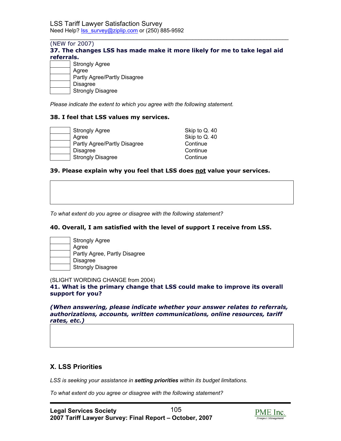## (NEW for 2007) **37. The changes LSS has made make it more likely for me to take legal aid referrals.**

 $\mathcal{L}_\text{max}$  , and the set of the set of the set of the set of the set of the set of the set of the set of the set of the set of the set of the set of the set of the set of the set of the set of the set of the set of the

| <b>Strongly Agree</b>        |
|------------------------------|
| Agree                        |
| Partly Agree/Partly Disagree |
| <b>Disagree</b>              |
| <b>Strongly Disagree</b>     |

*Please indicate the extent to which you agree with the following statement.* 

## **38. I feel that LSS values my services.**

| <b>Strongly Agree</b>        | Skip to Q. 40 |
|------------------------------|---------------|
| Agree                        | Skip to Q. 40 |
| Partly Agree/Partly Disagree | Continue      |
| <b>Disagree</b>              | Continue      |
| <b>Strongly Disagree</b>     | Continue      |

## **39. Please explain why you feel that LSS does not value your services.**

*To what extent do you agree or disagree with the following statement?* 

## **40. Overall, I am satisfied with the level of support I receive from LSS.**

| <b>Strongly Agree</b>         |
|-------------------------------|
| Agree                         |
| Partly Agree, Partly Disagree |
| <b>Disagree</b>               |
| <b>Strongly Disagree</b>      |

(SLIGHT WORDING CHANGE from 2004)

**41. What is the primary change that LSS could make to improve its overall support for you?** 

*(When answering, please indicate whether your answer relates to referrals, authorizations, accounts, written communications, online resources, tariff rates, etc.)*

# **X. LSS Priorities**

*LSS is seeking your assistance in setting priorities within its budget limitations.* 

*To what extent do you agree or disagree with the following statement?* 

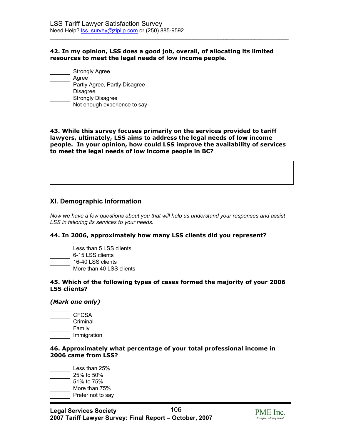## **42. In my opinion, LSS does a good job, overall, of allocating its limited resources to meet the legal needs of low income people.**

 $\mathcal{L}_\text{max}$  , and the set of the set of the set of the set of the set of the set of the set of the set of the set of the set of the set of the set of the set of the set of the set of the set of the set of the set of the

| Strongly Agree                |
|-------------------------------|
| Agree                         |
| Partly Agree, Partly Disagree |
| <b>Disagree</b>               |
| <b>Strongly Disagree</b>      |
| Not enough experience to say  |

**43. While this survey focuses primarily on the services provided to tariff lawyers, ultimately, LSS aims to address the legal needs of low income people. In your opinion, how could LSS improve the availability of services to meet the legal needs of low income people in BC?** 

# **XI. Demographic Information**

*Now we have a few questions about you that will help us understand your responses and assist LSS in tailoring its services to your needs.* 

## **44. In 2006, approximately how many LSS clients did you represent?**

| Less than 5 LSS clients  |
|--------------------------|
| 6-15 LSS clients         |
| 16-40 LSS clients        |
| More than 40 LSS clients |

#### **45. Which of the following types of cases formed the majority of your 2006 LSS clients?**

## *(Mark one only)*

| CFCSA       |
|-------------|
| Criminal    |
| Family      |
| Immigration |

## **46. Approximately what percentage of your total professional income in 2006 came from LSS?**

| Less than 25%<br>25% to 50% |
|-----------------------------|
|                             |
| 51% to 75%                  |
| More than 75%               |
| Prefer not to say           |